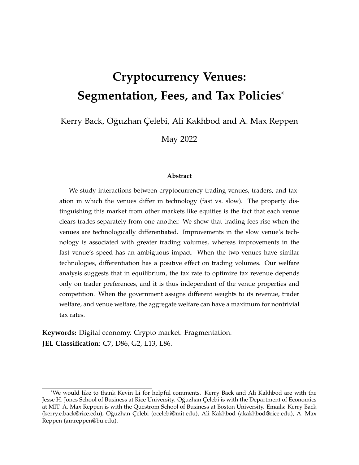# **Cryptocurrency Venues: Segmentation, Fees, and Tax Policies**\*

Kerry Back, Oğuzhan Çelebi, Ali Kakhbod and A. Max Reppen

May 2022

#### **Abstract**

We study interactions between cryptocurrency trading venues, traders, and taxation in which the venues differ in technology (fast vs. slow). The property distinguishing this market from other markets like equities is the fact that each venue clears trades separately from one another. We show that trading fees rise when the venues are technologically differentiated. Improvements in the slow venue's technology is associated with greater trading volumes, whereas improvements in the fast venue's speed has an ambiguous impact. When the two venues have similar technologies, differentiation has a positive effect on trading volumes. Our welfare analysis suggests that in equilibrium, the tax rate to optimize tax revenue depends only on trader preferences, and it is thus independent of the venue properties and competition. When the government assigns different weights to its revenue, trader welfare, and venue welfare, the aggregate welfare can have a maximum for nontrivial tax rates.

**Keywords:** Digital economy. Crypto market. Fragmentation. **JEL Classification**: C7, D86, G2, L13, L86.

<sup>\*</sup>We would like to thank Kevin Li for helpful comments. Kerry Back and Ali Kakhbod are with the Jesse H. Jones School of Business at Rice University. Oğuzhan Çelebi is with the Department of Economics at MIT. A. Max Reppen is with the Questrom School of Business at Boston University. Emails: Kerry Back (kerry.e.back@rice.edu), O˘guzhan Çelebi (ocelebi@mit.edu), Ali Kakhbod (akakhbod@rice.edu), A. Max Reppen (amreppen@bu.edu).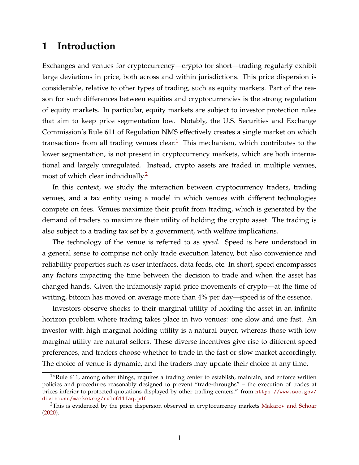# **1 Introduction**

Exchanges and venues for cryptocurrency—crypto for short—trading regularly exhibit large deviations in price, both across and within jurisdictions. This price dispersion is considerable, relative to other types of trading, such as equity markets. Part of the reason for such differences between equities and cryptocurrencies is the strong regulation of equity markets. In particular, equity markets are subject to investor protection rules that aim to keep price segmentation low. Notably, the U.S. Securities and Exchange Commission's Rule 611 of Regulation NMS effectively creates a single market on which transactions from all trading venues clear.<sup>[1](#page-1-0)</sup> This mechanism, which contributes to the lower segmentation, is not present in cryptocurrency markets, which are both international and largely unregulated. Instead, crypto assets are traded in multiple venues, most of which clear individually.<sup>[2](#page-1-1)</sup>

In this context, we study the interaction between cryptocurrency traders, trading venues, and a tax entity using a model in which venues with different technologies compete on fees. Venues maximize their profit from trading, which is generated by the demand of traders to maximize their utility of holding the crypto asset. The trading is also subject to a trading tax set by a government, with welfare implications.

The technology of the venue is referred to as *speed*. Speed is here understood in a general sense to comprise not only trade execution latency, but also convenience and reliability properties such as user interfaces, data feeds, etc. In short, speed encompasses any factors impacting the time between the decision to trade and when the asset has changed hands. Given the infamously rapid price movements of crypto—at the time of writing, bitcoin has moved on average more than 4% per day—speed is of the essence.

Investors observe shocks to their marginal utility of holding the asset in an infinite horizon problem where trading takes place in two venues: one slow and one fast. An investor with high marginal holding utility is a natural buyer, whereas those with low marginal utility are natural sellers. These diverse incentives give rise to different speed preferences, and traders choose whether to trade in the fast or slow market accordingly. The choice of venue is dynamic, and the traders may update their choice at any time.

<span id="page-1-0"></span><sup>&</sup>lt;sup>1</sup>"Rule 611, among other things, requires a trading center to establish, maintain, and enforce written policies and procedures reasonably designed to prevent "trade-throughs" – the execution of trades at prices inferior to protected quotations displayed by other trading centers." from [https://www.sec.gov/](https://www.sec.gov/divisions/marketreg/rule611faq.pdf) [divisions/marketreg/rule611faq.pdf](https://www.sec.gov/divisions/marketreg/rule611faq.pdf)

<span id="page-1-1"></span><sup>&</sup>lt;sup>2</sup>This is evidenced by the price dispersion observed in cryptocurrency markets [Makarov and Schoar](#page-30-0) [\(2020\)](#page-30-0).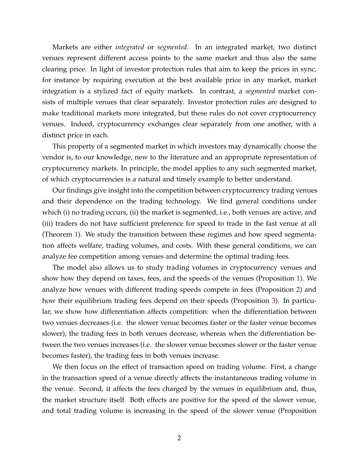Markets are either *integrated* or *segmented*. In an integrated market, two distinct venues represent different access points to the same market and thus also the same clearing price. In light of investor protection rules that aim to keep the prices in sync, for instance by requiring execution at the best available price in any market, market integration is a stylized fact of equity markets. In contrast, a *segmented* market consists of multiple venues that clear separately. Investor protection rules are designed to make traditional markets more integrated, but these rules do not cover cryptocurrency venues. Indeed, cryptocurrency exchanges clear separately from one another, with a distinct price in each.

This property of a segmented market in which investors may dynamically choose the vendor is, to our knowledge, new to the literature and an appropriate representation of cryptocurrency markets. In principle, the model applies to any such segmented market, of which cryptocurrencies is a natural and timely example to better understand.

Our findings give insight into the competition between cryptocurrency trading venues and their dependence on the trading technology. We find general conditions under which (i) no trading occurs, (ii) the market is segmented, i.e., both venues are active, and (iii) traders do not have sufficient preference for speed to trade in the fast venue at all (Theorem [1\)](#page-8-0). We study the transition between these regimes and how speed segmentation affects welfare, trading volumes, and costs. With these general conditions, we can analyze fee competition among venues and determine the optimal trading fees.

The model also allows us to study trading volumes in cryptocurrency venues and show how they depend on taxes, fees, and the speeds of the venues (Proposition [1\)](#page-15-0). We analyze how venues with different trading speeds compete in fees (Proposition [2\)](#page-19-0) and how their equilibrium trading fees depend on their speeds (Proposition [3\)](#page-20-0). In particular, we show how differentiation affects competition: when the differentiation between two venues decreases (i.e. the slower venue becomes faster or the faster venue becomes slower), the trading fees in both venues decrease, whereas when the differentiation between the two venues increases (i.e. the slower venue becomes slower or the faster venue becomes faster), the trading fees in both venues increase.

We then focus on the effect of transaction speed on trading volume. First, a change in the transaction speed of a venue directly affects the instantaneous trading volume in the venue. Second, it affects the fees charged by the venues in equilibrium and, thus, the market structure itself. Both effects are positive for the speed of the slower venue, and total trading volume is increasing in the speed of the slower venue (Proposition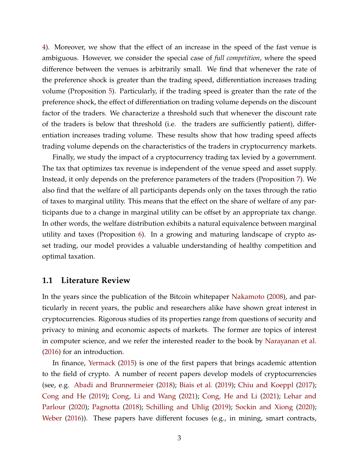[4\)](#page-21-0). Moreover, we show that the effect of an increase in the speed of the fast venue is ambiguous. However, we consider the special case of *full competition*, where the speed difference between the venues is arbitrarily small. We find that whenever the rate of the preference shock is greater than the trading speed, differentiation increases trading volume (Proposition [5\)](#page-22-0). Particularly, if the trading speed is greater than the rate of the preference shock, the effect of differentiation on trading volume depends on the discount factor of the traders. We characterize a threshold such that whenever the discount rate of the traders is below that threshold (i.e. the traders are sufficiently patient), differentiation increases trading volume. These results show that how trading speed affects trading volume depends on the characteristics of the traders in cryptocurrency markets.

Finally, we study the impact of a cryptocurrency trading tax levied by a government. The tax that optimizes tax revenue is independent of the venue speed and asset supply. Instead, it only depends on the preference parameters of the traders (Proposition [7\)](#page-26-0). We also find that the welfare of all participants depends only on the taxes through the ratio of taxes to marginal utility. This means that the effect on the share of welfare of any participants due to a change in marginal utility can be offset by an appropriate tax change. In other words, the welfare distribution exhibits a natural equivalence between marginal utility and taxes (Proposition [6\)](#page-25-0). In a growing and maturing landscape of crypto asset trading, our model provides a valuable understanding of healthy competition and optimal taxation.

### **1.1 Literature Review**

In the years since the publication of the Bitcoin whitepaper [Nakamoto](#page-30-1) [\(2008\)](#page-30-1), and particularly in recent years, the public and researchers alike have shown great interest in cryptocurrencies. Rigorous studies of its properties range from questions of security and privacy to mining and economic aspects of markets. The former are topics of interest in computer science, and we refer the interested reader to the book by [Narayanan et al.](#page-30-2) [\(2016\)](#page-30-2) for an introduction.

In finance, [Yermack](#page-31-0) [\(2015\)](#page-31-0) is one of the first papers that brings academic attention to the field of crypto. A number of recent papers develop models of cryptocurrencies (see, e.g. [Abadi and Brunnermeier](#page-29-0) [\(2018\)](#page-29-0); [Biais et al.](#page-29-1) [\(2019\)](#page-29-1); [Chiu and Koeppl](#page-29-2) [\(2017\)](#page-29-2); [Cong and He](#page-29-3) [\(2019\)](#page-29-3); [Cong, Li and Wang](#page-29-4) [\(2021\)](#page-29-4); [Cong, He and Li](#page-29-5) [\(2021\)](#page-29-5); [Lehar and](#page-30-3) [Parlour](#page-30-3) [\(2020\)](#page-30-3); [Pagnotta](#page-30-4) [\(2018\)](#page-30-4); [Schilling and Uhlig](#page-30-5) [\(2019\)](#page-30-5); [Sockin and Xiong](#page-30-6) [\(2020\)](#page-30-6); [Weber](#page-31-1) [\(2016\)](#page-31-1)). These papers have different focuses (e.g., in mining, smart contracts,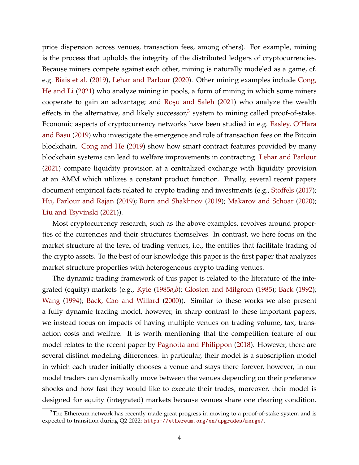price dispersion across venues, transaction fees, among others). For example, mining is the process that upholds the integrity of the distributed ledgers of cryptocurrencies. Because miners compete against each other, mining is naturally modeled as a game, cf. e.g. [Biais et al.](#page-29-1) [\(2019\)](#page-29-1), [Lehar and Parlour](#page-30-3) [\(2020\)](#page-30-3). Other mining examples include [Cong,](#page-29-5) [He and Li](#page-29-5) [\(2021\)](#page-29-5) who analyze mining in pools, a form of mining in which some miners cooperate to gain an advantage; and Roşu and Saleh [\(2021\)](#page-30-7) who analyze the wealth effects in the alternative, and likely successor, $3$  system to mining called proof-of-stake. Economic aspects of cryptocurrency networks have been studied in e.g. [Easley, O'Hara](#page-29-6) [and Basu](#page-29-6) [\(2019\)](#page-29-6) who investigate the emergence and role of transaction fees on the Bitcoin blockchain. [Cong and He](#page-29-3) [\(2019\)](#page-29-3) show how smart contract features provided by many blockchain systems can lead to welfare improvements in contracting. [Lehar and Parlour](#page-30-8) [\(2021\)](#page-30-8) compare liquidity provision at a centralized exchange with liquidity provision at an AMM which utilizes a constant product function. Finally, several recent papers document empirical facts related to crypto trading and investments (e.g., [Stoffels](#page-31-2) [\(2017\)](#page-31-2); [Hu, Parlour and Rajan](#page-29-7) [\(2019\)](#page-29-7); [Borri and Shakhnov](#page-29-8) [\(2019\)](#page-29-8); [Makarov and Schoar](#page-30-0) [\(2020\)](#page-30-0); [Liu and Tsyvinski](#page-30-9) [\(2021\)](#page-30-9)).

Most cryptocurrency research, such as the above examples, revolves around properties of the currencies and their structures themselves. In contrast, we here focus on the market structure at the level of trading venues, i.e., the entities that facilitate trading of the crypto assets. To the best of our knowledge this paper is the first paper that analyzes market structure properties with heterogeneous crypto trading venues.

The dynamic trading framework of this paper is related to the literature of the integrated (equity) markets (e.g., [Kyle](#page-30-10) [\(1985](#page-30-10)*a*,*[b](#page-30-11)*); [Glosten and Milgrom](#page-29-9) [\(1985\)](#page-29-9); [Back](#page-29-10) [\(1992\)](#page-29-10); [Wang](#page-31-3) [\(1994\)](#page-31-3); [Back, Cao and Willard](#page-29-11) [\(2000\)](#page-29-11)). Similar to these works we also present a fully dynamic trading model, however, in sharp contrast to these important papers, we instead focus on impacts of having multiple venues on trading volume, tax, transaction costs and welfare. It is worth mentioning that the competition feature of our model relates to the recent paper by [Pagnotta and Philippon](#page-30-12) [\(2018\)](#page-30-12). However, there are several distinct modeling differences: in particular, their model is a subscription model in which each trader initially chooses a venue and stays there forever, however, in our model traders can dynamically move between the venues depending on their preference shocks and how fast they would like to execute their trades, moreover, their model is designed for equity (integrated) markets because venues share one clearing condition.

<span id="page-4-0"></span> $3$ The Ethereum network has recently made great progress in moving to a proof-of-stake system and is expected to transition during Q2 2022: <https://ethereum.org/en/upgrades/merge/>.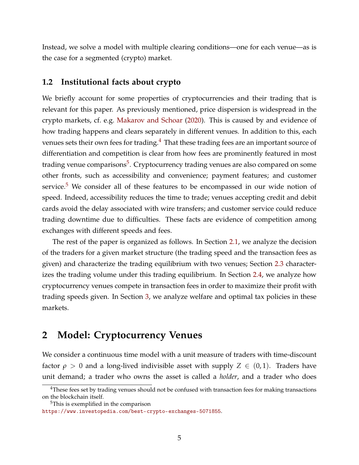Instead, we solve a model with multiple clearing conditions—one for each venue—as is the case for a segmented (crypto) market.

### **1.2 Institutional facts about crypto**

We briefly account for some properties of cryptocurrencies and their trading that is relevant for this paper. As previously mentioned, price dispersion is widespread in the crypto markets, cf. e.g. [Makarov and Schoar](#page-30-0) [\(2020\)](#page-30-0). This is caused by and evidence of how trading happens and clears separately in different venues. In addition to this, each venues sets their own fees for trading.<sup>[4](#page-5-0)</sup> That these trading fees are an important source of differentiation and competition is clear from how fees are prominently featured in most trading venue comparisons<sup>[5](#page-5-1)</sup>. Cryptocurrency trading venues are also compared on some other fronts, such as accessibility and convenience; payment features; and customer service. $5$  We consider all of these features to be encompassed in our wide notion of speed. Indeed, accessibility reduces the time to trade; venues accepting credit and debit cards avoid the delay associated with wire transfers; and customer service could reduce trading downtime due to difficulties. These facts are evidence of competition among exchanges with different speeds and fees.

The rest of the paper is organized as follows. In Section [2.1,](#page-6-0) we analyze the decision of the traders for a given market structure (the trading speed and the transaction fees as given) and characterize the trading equilibrium with two venues; Section [2.3](#page-15-1) characterizes the trading volume under this trading equilibrium. In Section [2.4,](#page-18-0) we analyze how cryptocurrency venues compete in transaction fees in order to maximize their profit with trading speeds given. In Section [3,](#page-24-0) we analyze welfare and optimal tax policies in these markets.

# **2 Model: Cryptocurrency Venues**

We consider a continuous time model with a unit measure of traders with time-discount factor  $\rho > 0$  and a long-lived indivisible asset with supply  $Z \in (0,1)$ . Traders have unit demand; a trader who owns the asset is called a *holder*, and a trader who does

<span id="page-5-1"></span><sup>5</sup>This is exemplified in the comparison

<span id="page-5-0"></span><sup>&</sup>lt;sup>4</sup>These fees set by trading venues should not be confused with transaction fees for making transactions on the blockchain itself.

<https://www.investopedia.com/best-crypto-exchanges-5071855>.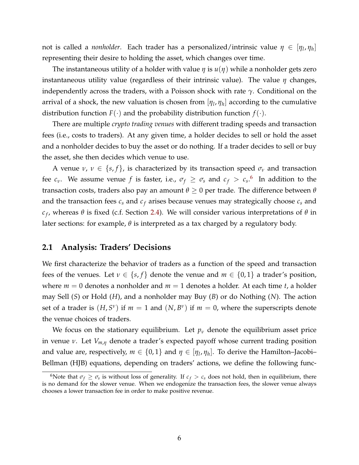not is called a *nonholder*. Each trader has a personalized/intrinsic value  $\eta \in [\eta_l, \eta_h]$ representing their desire to holding the asset, which changes over time.

The instantaneous utility of a holder with value *η* is *u*(*η*) while a nonholder gets zero instantaneous utility value (regardless of their intrinsic value). The value *η* changes, independently across the traders, with a Poisson shock with rate *γ*. Conditional on the arrival of a shock, the new valuation is chosen from  $[\eta_l, \eta_h]$  according to the cumulative distribution function  $F(\cdot)$  and the probability distribution function  $f(\cdot)$ .

There are multiple *crypto trading venues* with different trading speeds and transaction fees (i.e., costs to traders). At any given time, a holder decides to sell or hold the asset and a nonholder decides to buy the asset or do nothing. If a trader decides to sell or buy the asset, she then decides which venue to use.

A venue  $\nu$ ,  $\nu \in \{s, f\}$ , is characterized by its transaction speed  $\sigma_{\nu}$  and transaction fee  $c_\nu$ . We assume venue  $f$  is faster, i.e.,  $\sigma_f \geq \sigma_s$  and  $c_f > {c_s}$ . In addition to the transaction costs, traders also pay an amount  $θ ≥ 0$  per trade. The difference between  $θ$ and the transaction fees  $c_s$  and  $c_f$  arises because venues may strategically choose  $c_s$  and *c f* , whereas *θ* is fixed (c.f. Section [2.4\)](#page-18-0). We will consider various interpretations of *θ* in later sections: for example, *θ* is interpreted as a tax charged by a regulatory body.

### <span id="page-6-0"></span>**2.1 Analysis: Traders' Decisions**

We first characterize the behavior of traders as a function of the speed and transaction fees of the venues. Let  $v \in \{s, f\}$  denote the venue and  $m \in \{0, 1\}$  a trader's position, where  $m = 0$  denotes a nonholder and  $m = 1$  denotes a holder. At each time *t*, a holder may Sell (*S*) or Hold (*H*), and a nonholder may Buy (*B*) or do Nothing (*N*). The action set of a trader is  $(H, S^{\nu})$  if  $m = 1$  and  $(N, B^{\nu})$  if  $m = 0$ , where the superscripts denote the venue choices of traders.

We focus on the stationary equilibrium. Let  $p_\nu$  denote the equilibrium asset price in venue *ν*. Let *Vm*,*<sup>η</sup>* denote a trader's expected payoff whose current trading position and value are, respectively,  $m \in \{0,1\}$  and  $\eta \in [\eta_l,\eta_h]$ . To derive the Hamilton–Jacobi– Bellman (HJB) equations, depending on traders' actions, we define the following func-

<span id="page-6-1"></span><sup>&</sup>lt;sup>6</sup>Note that  $\sigma_f \ge \sigma_s$  is without loss of generality. If  $c_f > c_s$  does not hold, then in equilibrium, there is no demand for the slower venue. When we endogenize the transaction fees, the slower venue always chooses a lower transaction fee in order to make positive revenue.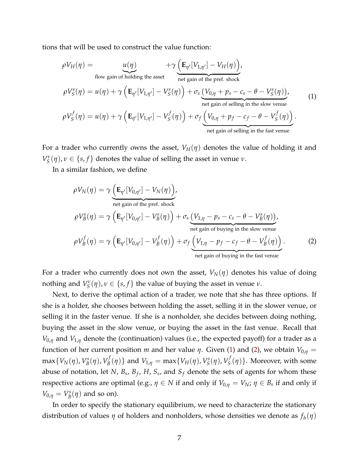tions that will be used to construct the value function:

<span id="page-7-0"></span>
$$
\rho V_H(\eta) = \underbrace{u(\eta)}_{\text{flow gain of holding the asset}} + \gamma \underbrace{\left(\mathbf{E}_{\eta'}[V_{1,\eta'}] - V_H(\eta)\right)}_{\text{net gain of the pref. shock}},
$$
\n
$$
\rho V_S^s(\eta) = u(\eta) + \gamma \left(\mathbf{E}_{\eta'}[V_{1,\eta'}] - V_S^s(\eta)\right) + \sigma_s \underbrace{\left(V_{0,\eta} + p_s - c_s - \theta - V_S^s(\eta)\right)}_{\text{net gain of selling in the slow venue}},
$$
\n(1)\n
$$
\rho V_S^f(\eta) = u(\eta) + \gamma \left(\mathbf{E}_{\eta'}[V_{1,\eta'}] - V_S^f(\eta)\right) + \sigma_f \underbrace{\left(V_{0,\eta} + p_f - c_f - \theta - V_S^f(\eta)\right)}_{\text{net gain of selling in the fast venue}}.
$$

For a trader who currently owns the asset,  $V_H(\eta)$  denotes the value of holding it and *V*<sub>*S*</sub><sup> $\prime$ </sup>(*η*), *ν* ∈ {*s*, *f*} denotes the value of selling the asset in venue *ν*.

In a similar fashion, we define

<span id="page-7-1"></span>
$$
\rho V_N(\eta) = \gamma \underbrace{\left(\mathbf{E}_{\eta'}[V_{0,\eta'}] - V_N(\eta)\right)}_{\text{net gain of the pref. shock}},
$$
\n
$$
\rho V_B^s(\eta) = \gamma \left(\mathbf{E}_{\eta'}[V_{0,\eta'}] - V_B^s(\eta)\right) + \sigma_s \underbrace{\left(V_{1,\eta} - p_s - c_s - \theta - V_B^s(\eta)\right)}_{\text{net gain of buying in the slow venue}},
$$
\n
$$
\rho V_B^f(\eta) = \gamma \left(\mathbf{E}_{\eta'}[V_{0,\eta'}] - V_B^f(\eta)\right) + \sigma_f \underbrace{\left(V_{1,\eta} - p_f - c_f - \theta - V_B^f(\eta)\right)}_{\text{net gain of buying in the fast venue}}.
$$
\n(2)

For a trader who currently does not own the asset,  $V_N(\eta)$  denotes his value of doing nothing and  $V_S^{\nu}(\eta)$ ,  $\nu \in \{s, f\}$  the value of buying the asset in venue  $\nu$ .

Next, to derive the optimal action of a trader, we note that she has three options. If she is a holder, she chooses between holding the asset, selling it in the slower venue, or selling it in the faster venue. If she is a nonholder, she decides between doing nothing, buying the asset in the slow venue, or buying the asset in the fast venue. Recall that  $V_{0,n}$  and  $V_{1,n}$  denote the (continuation) values (i.e., the expected payoff) for a trader as a function of her current position *m* and her value *η*. Given [\(1\)](#page-7-0) and [\(2\)](#page-7-1), we obtain  $V_{0,\eta}$  =  $max\{V_N(\eta), V_B^s\}$ *B* (*η*), *V f*  $V_B^f(\eta)$ } and  $V_{1,\eta} = \max\{V_H(\eta), V_S^s\}$ *S* (*η*), *V f*  $S_S^{\prime}(\eta)$ . Moreover, with some abuse of notation, let *N*, *B<sup>s</sup>* , *B<sup>f</sup>* , *H*, *S<sup>s</sup>* , and *S<sup>f</sup>* denote the sets of agents for whom these respective actions are optimal (e.g.,  $\eta \in N$  if and only if  $V_{0,\eta} = V_N$ ;  $\eta \in B_s$  if and only if  $V_{0,\eta} = V_B^s$  $B_B^s(\eta)$  and so on).

In order to specify the stationary equilibrium, we need to characterize the stationary distribution of values *η* of holders and nonholders, whose densities we denote as *fh*(*η*)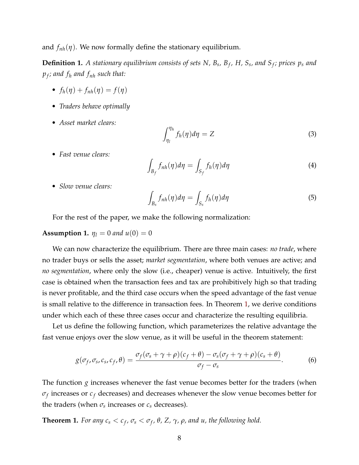and  $f_{nh}(\eta)$ . We now formally define the stationary equilibrium.

**Definition 1.** A stationary equilibrium consists of sets N, B<sub>s</sub>, B<sub>f</sub>, H, S<sub>s</sub>, and S<sub>f</sub>; prices  $p_s$  and *pf ; and f<sup>h</sup> and fnh such that:*

- $f_h(\eta) + f_{nh}(\eta) = f(\eta)$
- *Traders behave optimally*
- *Asset market clears:*

$$
\int_{\eta_l}^{\eta_h} f_h(\eta) d\eta = Z \tag{3}
$$

• *Fast venue clears:*

$$
\int_{B_f} f_{nh}(\eta) d\eta = \int_{S_f} f_h(\eta) d\eta \tag{4}
$$

• *Slow venue clears:*

$$
\int_{B_s} f_{nh}(\eta) d\eta = \int_{S_s} f_h(\eta) d\eta \tag{5}
$$

For the rest of the paper, we make the following normalization:

#### **Assumption 1.**  $\eta_l = 0$  *and*  $u(0) = 0$

We can now characterize the equilibrium. There are three main cases: *no trade*, where no trader buys or sells the asset; *market segmentation*, where both venues are active; and *no segmentation*, where only the slow (i.e., cheaper) venue is active. Intuitively, the first case is obtained when the transaction fees and tax are prohibitively high so that trading is never profitable, and the third case occurs when the speed advantage of the fast venue is small relative to the difference in transaction fees. In Theorem [1,](#page-8-0) we derive conditions under which each of these three cases occur and characterize the resulting equilibria.

Let us define the following function, which parameterizes the relative advantage the fast venue enjoys over the slow venue, as it will be useful in the theorem statement:

$$
g(\sigma_f, \sigma_s, c_s, c_f, \theta) = \frac{\sigma_f(\sigma_s + \gamma + \rho)(c_f + \theta) - \sigma_s(\sigma_f + \gamma + \rho)(c_s + \theta)}{\sigma_f - \sigma_s}.
$$
 (6)

The function *g* increases whenever the fast venue becomes better for the traders (when  $\sigma_f$  increases or  $c_f$  decreases) and decreases whenever the slow venue becomes better for the traders (when  $\sigma_s$  increases or  $c_s$  decreases).

<span id="page-8-0"></span>**Theorem 1.** For any  $c_s < c_f$ ,  $\sigma_s < \sigma_f$ ,  $\theta$ , Z,  $\gamma$ ,  $\rho$ , and u, the following hold.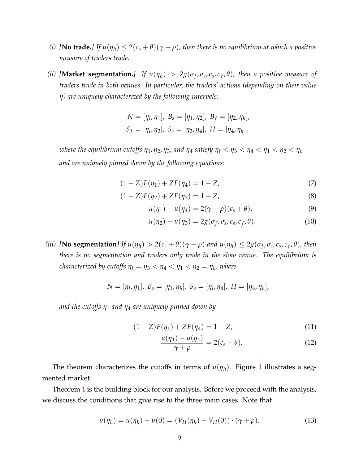- *(i)* **[No trade.**] If  $u(\eta_h) \leq 2(c_s + \theta)(\gamma + \rho)$ , then there is no equilibrium at which a positive *measure of traders trade.*
- *(ii)* [Market segmentation.] If  $u(\eta_h) > 2g(\sigma_f, \sigma_s, c_s, c_f, \theta)$ , then a positive measure of *traders trade in both venues. In particular, the traders' actions (depending on their value η) are uniquely characterized by the following intervals:*

$$
N = [\eta_1, \eta_1], B_s = [\eta_1, \eta_2], B_f = [\eta_2, \eta_h],
$$
  

$$
S_f = [\eta_1, \eta_3], S_s = [\eta_3, \eta_4], H = [\eta_4, \eta_h],
$$

*where the equilibrium cutoffs*  $\eta_1$ ,  $\eta_2$ ,  $\eta_3$ , and  $\eta_4$  satisfy  $\eta_1 < \eta_3 < \eta_4 < \eta_1 < \eta_2 < \eta_h$ *and are uniquely pinned down by the following equations:*

$$
(1 - Z)F(\eta_1) + ZF(\eta_4) = 1 - Z,
$$
\n(7)

$$
(1 - Z)F(\eta_2) + ZF(\eta_3) = 1 - Z,
$$
\n(8)

<span id="page-9-2"></span><span id="page-9-1"></span><span id="page-9-0"></span>
$$
u(\eta_1) - u(\eta_4) = 2(\gamma + \rho)(c_s + \theta), \qquad (9)
$$

$$
u(\eta_2) - u(\eta_3) = 2g(\sigma_f, \sigma_s, c_s, c_f, \theta). \tag{10}
$$

(iii) [No segmentation] If  $u(\eta_h) > 2(c_s + \theta)(\gamma + \rho)$  and  $u(\eta_h) \leq 2g(\sigma_f, \sigma_s, c_s, c_f, \theta)$ , then *there is no segmentation and traders only trade in the slow venue. The equilibrium is characterized by cutoffs*  $\eta_1 = \eta_3 < \eta_4 < \eta_1 < \eta_2 = \eta_h$ *, where* 

$$
N = [\eta_1, \eta_1], B_s = [\eta_1, \eta_h], S_s = [\eta_1, \eta_4], H = [\eta_4, \eta_h],
$$

*and the cutoffs η*<sup>1</sup> *and η*<sup>4</sup> *are uniquely pinned down by*

$$
(1 - Z)F(\eta_1) + ZF(\eta_4) = 1 - Z,
$$
\n(11)

$$
\frac{u(\eta_1) - u(\eta_4)}{\gamma + \rho} = 2(c_s + \theta). \tag{12}
$$

The theorem characterizes the cutoffs in terms of  $u(\eta_h)$ . Figure [1](#page-10-0) illustrates a segmented market.

Theorem [1](#page-8-0) is the building block for our analysis. Before we proceed with the analysis, we discuss the conditions that give rise to the three main cases. Note that

$$
u(\eta_h) = u(\eta_h) - u(0) = (V_H(\eta_h) - V_H(0)) \cdot (\gamma + \rho).
$$
 (13)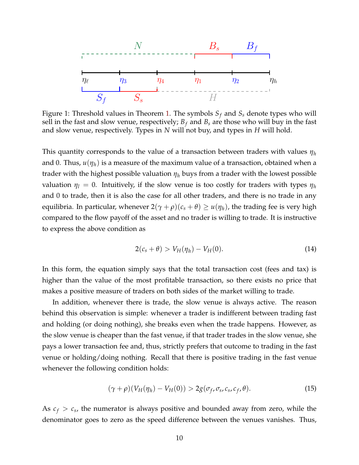<span id="page-10-0"></span>

Figure 1: Threshold values in Theorem [1.](#page-8-0) The symbols *S<sup>f</sup>* and *S<sup>s</sup>* denote types who will sell in the fast and slow venue, respectively;  $B_f$  and  $B_s$  are those who will buy in the fast and slow venue, respectively. Types in *N* will not buy, and types in *H* will hold.

This quantity corresponds to the value of a transaction between traders with values *η<sup>h</sup>* and 0. Thus, *u*(*ηh*) is a measure of the maximum value of a transaction, obtained when a trader with the highest possible valuation *η<sup>h</sup>* buys from a trader with the lowest possible valuation  $\eta_l = 0$ . Intuitively, if the slow venue is too costly for traders with types  $\eta_h$ and 0 to trade, then it is also the case for all other traders, and there is no trade in any equilibria. In particular, whenever  $2(\gamma + \rho)(c_s + \theta) \geq u(\eta_h)$ , the trading fee is very high compared to the flow payoff of the asset and no trader is willing to trade. It is instructive to express the above condition as

$$
2(c_s + \theta) > V_H(\eta_h) - V_H(0). \tag{14}
$$

In this form, the equation simply says that the total transaction cost (fees and tax) is higher than the value of the most profitable transaction, so there exists no price that makes a positive measure of traders on both sides of the market willing to trade.

In addition, whenever there is trade, the slow venue is always active. The reason behind this observation is simple: whenever a trader is indifferent between trading fast and holding (or doing nothing), she breaks even when the trade happens. However, as the slow venue is cheaper than the fast venue, if that trader trades in the slow venue, she pays a lower transaction fee and, thus, strictly prefers that outcome to trading in the fast venue or holding/doing nothing. Recall that there is positive trading in the fast venue whenever the following condition holds:

$$
(\gamma + \rho)(V_H(\eta_h) - V_H(0)) > 2g(\sigma_f, \sigma_s, c_s, c_f, \theta). \tag{15}
$$

As  $c_f > c_s$ , the numerator is always positive and bounded away from zero, while the denominator goes to zero as the speed difference between the venues vanishes. Thus,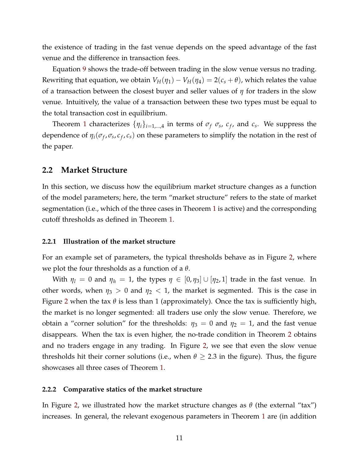the existence of trading in the fast venue depends on the speed advantage of the fast venue and the difference in transaction fees.

Equation [9](#page-9-0) shows the trade-off between trading in the slow venue versus no trading. Rewriting that equation, we obtain  $V_H(\eta_1) - V_H(\eta_4) = 2(c_s + \theta)$ , which relates the value of a transaction between the closest buyer and seller values of *η* for traders in the slow venue. Intuitively, the value of a transaction between these two types must be equal to the total transaction cost in equilibrium.

Theorem [1](#page-8-0) characterizes  $\{\eta_i\}_{i=1,\dots,4}$  in terms of  $\sigma_f$   $\sigma_s$ ,  $c_f$ , and  $c_s$ . We suppress the dependence of  $\eta_i(\sigma_f, \sigma_s, c_f, c_s)$  on these parameters to simplify the notation in the rest of the paper.

### **2.2 Market Structure**

In this section, we discuss how the equilibrium market structure changes as a function of the model parameters; here, the term "market structure" refers to the state of market segmentation (i.e., which of the three cases in Theorem [1](#page-8-0) is active) and the corresponding cutoff thresholds as defined in Theorem [1.](#page-8-0)

#### **2.2.1 Illustration of the market structure**

For an example set of parameters, the typical thresholds behave as in Figure [2,](#page-12-0) where we plot the four thresholds as a function of a *θ*.

With  $\eta_l = 0$  and  $\eta_h = 1$ , the types  $\eta \in [0, \eta_3] \cup [\eta_2, 1]$  trade in the fast venue. In other words, when  $\eta_3 > 0$  and  $\eta_2 < 1$ , the market is segmented. This is the case in Figure [2](#page-12-0) when the tax *θ* is less than 1 (approximately). Once the tax is sufficiently high, the market is no longer segmented: all traders use only the slow venue. Therefore, we obtain a "corner solution" for the thresholds:  $\eta_3 = 0$  and  $\eta_2 = 1$ , and the fast venue disappears. When the tax is even higher, the no-trade condition in Theorem [2](#page-12-0) obtains and no traders engage in any trading. In Figure [2,](#page-12-0) we see that even the slow venue thresholds hit their corner solutions (i.e., when  $\theta \geq 2.3$  in the figure). Thus, the figure showcases all three cases of Theorem [1.](#page-8-0)

#### **2.2.2 Comparative statics of the market structure**

In Figure [2,](#page-12-0) we illustrated how the market structure changes as *θ* (the external "tax") increases. In general, the relevant exogenous parameters in Theorem [1](#page-8-0) are (in addition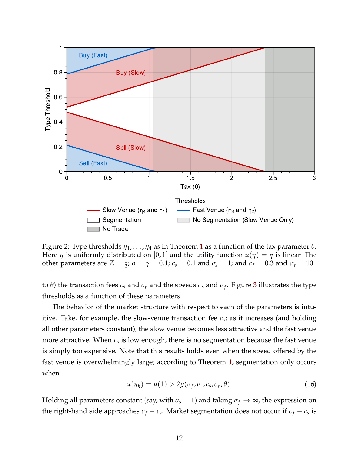<span id="page-12-0"></span>

Figure 2: Type thresholds *η*1, . . . , *η*<sup>4</sup> as in Theorem [1](#page-8-0) as a function of the tax parameter *θ*. Here  $\eta$  is uniformly distributed on [0, 1] and the utility function  $u(\eta) = \eta$  is linear. The other parameters are  $Z = \frac{1}{2}$ ;  $\rho = \gamma = 0.1$ ;  $c_s = 0.1$  and  $\sigma_s = 1$ ; and  $c_f = 0.3$  and  $\sigma_f = 10$ .

to *θ*) the transaction fees  $c_s$  and  $c_f$  and the speeds  $\sigma_s$  and  $\sigma_f$ . Figure [3](#page-13-0) illustrates the type thresholds as a function of these parameters.

The behavior of the market structure with respect to each of the parameters is intuitive. Take, for example, the slow-venue transaction fee  $c_s$ ; as it increases (and holding all other parameters constant), the slow venue becomes less attractive and the fast venue more attractive. When *c<sup>s</sup>* is low enough, there is no segmentation because the fast venue is simply too expensive. Note that this results holds even when the speed offered by the fast venue is overwhelmingly large; according to Theorem [1,](#page-8-0) segmentation only occurs when

$$
u(\eta_h) = u(1) > 2g(\sigma_f, \sigma_s, c_s, c_f, \theta).
$$
\n(16)

Holding all parameters constant (say, with  $\sigma_s = 1$ ) and taking  $\sigma_f \rightarrow \infty$ , the expression on the right-hand side approaches  $c_f - c_s$ . Market segmentation does not occur if  $c_f - c_s$  is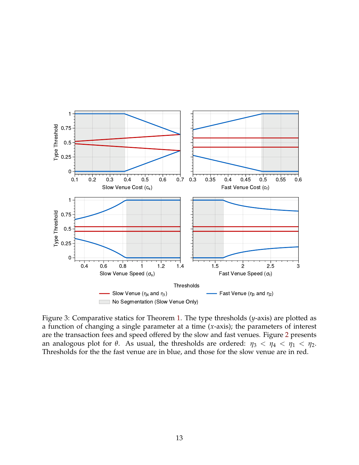<span id="page-13-0"></span>

Figure 3: Comparative statics for Theorem [1.](#page-8-0) The type thresholds (*y*-axis) are plotted as a function of changing a single parameter at a time (*x*-axis); the parameters of interest are the transaction fees and speed offered by the slow and fast venues. Figure [2](#page-12-0) presents an analogous plot for  $\theta$ . As usual, the thresholds are ordered:  $\eta_3 < \eta_4 < \eta_1 < \eta_2$ . Thresholds for the the fast venue are in blue, and those for the slow venue are in red.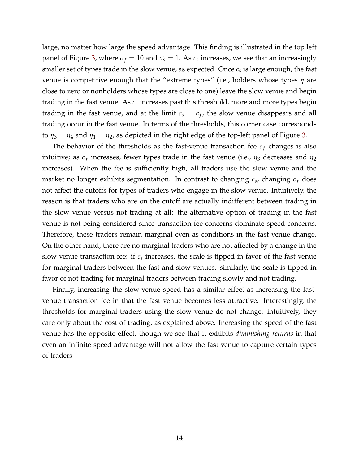large, no matter how large the speed advantage. This finding is illustrated in the top left panel of Figure [3,](#page-13-0) where  $\sigma_f = 10$  and  $\sigma_s = 1$ . As  $c_s$  increases, we see that an increasingly smaller set of types trade in the slow venue, as expected. Once *c<sup>s</sup>* is large enough, the fast venue is competitive enough that the "extreme types" (i.e., holders whose types *η* are close to zero or nonholders whose types are close to one) leave the slow venue and begin trading in the fast venue. As  $c_s$  increases past this threshold, more and more types begin trading in the fast venue, and at the limit  $c_s = c_f$ , the slow venue disappears and all trading occur in the fast venue. In terms of the thresholds, this corner case corresponds to  $\eta_3 = \eta_4$  and  $\eta_1 = \eta_2$ , as depicted in the right edge of the top-left panel of Figure [3.](#page-13-0)

The behavior of the thresholds as the fast-venue transaction fee  $c_f$  changes is also intuitive; as  $c_f$  increases, fewer types trade in the fast venue (i.e.,  $\eta_3$  decreases and  $\eta_2$ increases). When the fee is sufficiently high, all traders use the slow venue and the market no longer exhibits segmentation. In contrast to changing  $c_s$ , changing  $c_f$  does not affect the cutoffs for types of traders who engage in the slow venue. Intuitively, the reason is that traders who are on the cutoff are actually indifferent between trading in the slow venue versus not trading at all: the alternative option of trading in the fast venue is not being considered since transaction fee concerns dominate speed concerns. Therefore, these traders remain marginal even as conditions in the fast venue change. On the other hand, there are no marginal traders who are not affected by a change in the slow venue transaction fee: if  $c_s$  increases, the scale is tipped in favor of the fast venue for marginal traders between the fast and slow venues. similarly, the scale is tipped in favor of not trading for marginal traders between trading slowly and not trading.

Finally, increasing the slow-venue speed has a similar effect as increasing the fastvenue transaction fee in that the fast venue becomes less attractive. Interestingly, the thresholds for marginal traders using the slow venue do not change: intuitively, they care only about the cost of trading, as explained above. Increasing the speed of the fast venue has the opposite effect, though we see that it exhibits *diminishing returns* in that even an infinite speed advantage will not allow the fast venue to capture certain types of traders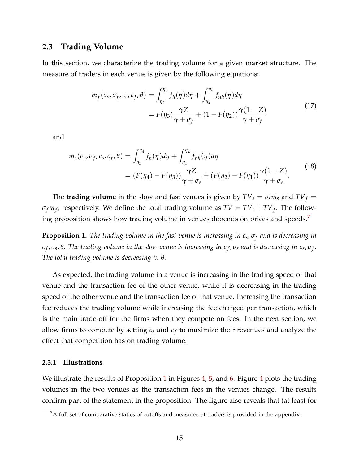### <span id="page-15-1"></span>**2.3 Trading Volume**

In this section, we characterize the trading volume for a given market structure. The measure of traders in each venue is given by the following equations:

<span id="page-15-3"></span>
$$
m_f(\sigma_s, \sigma_f, c_s, c_f, \theta) = \int_{\eta_l}^{\eta_3} f_h(\eta) d\eta + \int_{\eta_2}^{\eta_h} f_{nh}(\eta) d\eta
$$
  
=  $F(\eta_3) \frac{\gamma Z}{\gamma + \sigma_f} + (1 - F(\eta_2)) \frac{\gamma (1 - Z)}{\gamma + \sigma_f}$  (17)

and

<span id="page-15-4"></span>
$$
m_s(\sigma_s, \sigma_f, c_s, c_f, \theta) = \int_{\eta_3}^{\eta_4} f_h(\eta) d\eta + \int_{\eta_1}^{\eta_2} f_{nh}(\eta) d\eta
$$
  
=  $(F(\eta_4) - F(\eta_3)) \frac{\gamma Z}{\gamma + \sigma_s} + (F(\eta_2) - F(\eta_1)) \frac{\gamma (1 - Z)}{\gamma + \sigma_s}.$  (18)

The **trading volume** in the slow and fast venues is given by  $TV_s = \sigma_s m_s$  and  $TV_f =$  $\sigma_f m_f$ , respectively. We define the total trading volume as  $TV = TV_s + TV_f$ . The follow-ing proposition shows how trading volume in venues depends on prices and speeds.<sup>[7](#page-15-2)</sup>

<span id="page-15-0"></span>**Proposition 1.** *The trading volume in the fast venue is increasing in c<sup>s</sup>* , *σ<sup>f</sup> and is decreasing in*  $c_f$ , $\sigma_s$ , $θ$ . The trading volume in the slow venue is increasing in  $c_f$ , $\sigma_s$  and is decreasing in  $c_s$ , $\sigma_f$ . *The total trading volume is decreasing in θ.*

As expected, the trading volume in a venue is increasing in the trading speed of that venue and the transaction fee of the other venue, while it is decreasing in the trading speed of the other venue and the transaction fee of that venue. Increasing the transaction fee reduces the trading volume while increasing the fee charged per transaction, which is the main trade-off for the firms when they compete on fees. In the next section, we allow firms to compete by setting  $c_s$  and  $c_f$  to maximize their revenues and analyze the effect that competition has on trading volume.

#### **2.3.1 Illustrations**

We illustrate the results of Proposition [1](#page-15-0) in Figures [4,](#page-16-0) [5,](#page-17-0) and [6.](#page-18-1) Figure [4](#page-16-0) plots the trading volumes in the two venues as the transaction fees in the venues change. The results confirm part of the statement in the proposition. The figure also reveals that (at least for

<span id="page-15-2"></span> ${}^{7}$ A full set of comparative statics of cutoffs and measures of traders is provided in the appendix.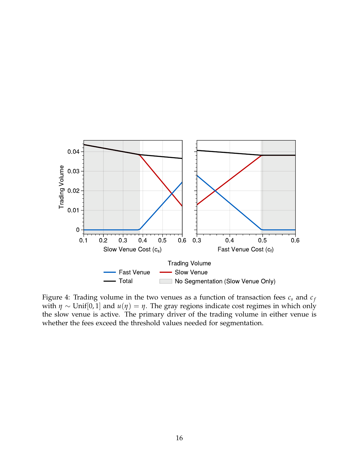<span id="page-16-0"></span>

Figure 4: Trading volume in the two venues as a function of transaction fees  $c_s$  and  $c_f$ with  $\eta \sim$  Unif[0, 1] and  $u(\eta) = \eta$ . The gray regions indicate cost regimes in which only the slow venue is active. The primary driver of the trading volume in either venue is whether the fees exceed the threshold values needed for segmentation.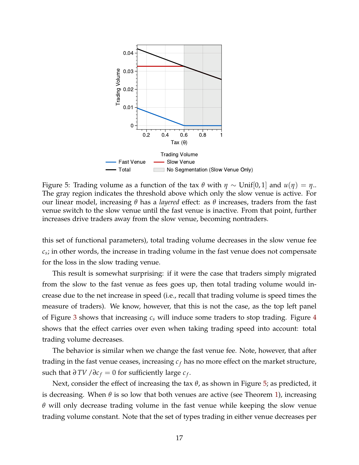<span id="page-17-0"></span>

Figure 5: Trading volume as a function of the tax *θ* with *η* ∼ Unif[0, 1] and *u*(*η*) = *η*.. The gray region indicates the threshold above which only the slow venue is active. For our linear model, increasing *θ* has a *layered* effect: as *θ* increases, traders from the fast venue switch to the slow venue until the fast venue is inactive. From that point, further increases drive traders away from the slow venue, becoming nontraders.

this set of functional parameters), total trading volume decreases in the slow venue fee *cs* ; in other words, the increase in trading volume in the fast venue does not compensate for the loss in the slow trading venue.

This result is somewhat surprising: if it were the case that traders simply migrated from the slow to the fast venue as fees goes up, then total trading volume would increase due to the net increase in speed (i.e., recall that trading volume is speed times the measure of traders). We know, however, that this is not the case, as the top left panel of Figure [3](#page-13-0) shows that increasing *c<sup>s</sup>* will induce some traders to stop trading. Figure [4](#page-16-0) shows that the effect carries over even when taking trading speed into account: total trading volume decreases.

The behavior is similar when we change the fast venue fee. Note, however, that after trading in the fast venue ceases, increasing  $c_f$  has no more effect on the market structure, such that  $\partial TV / \partial c_f = 0$  for sufficiently large  $c_f$ .

Next, consider the effect of increasing the tax *θ*, as shown in Figure [5;](#page-17-0) as predicted, it is decreasing. When  $\theta$  is so low that both venues are active (see Theorem [1\)](#page-8-0), increasing *θ* will only decrease trading volume in the fast venue while keeping the slow venue trading volume constant. Note that the set of types trading in either venue decreases per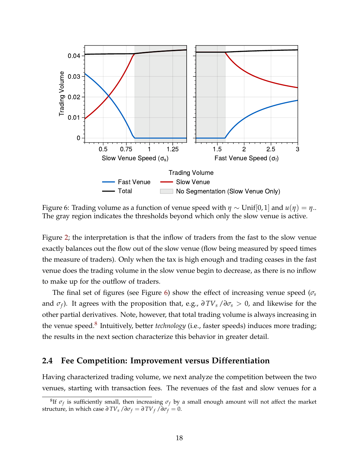<span id="page-18-1"></span>

Figure 6: Trading volume as a function of venue speed with  $\eta \sim \text{Unif}[0,1]$  and  $u(\eta) = \eta$ .. The gray region indicates the thresholds beyond which only the slow venue is active.

Figure [2;](#page-12-0) the interpretation is that the inflow of traders from the fast to the slow venue exactly balances out the flow out of the slow venue (flow being measured by speed times the measure of traders). Only when the tax is high enough and trading ceases in the fast venue does the trading volume in the slow venue begin to decrease, as there is no inflow to make up for the outflow of traders.

The final set of figures (see Figure [6\)](#page-18-1) show the effect of increasing venue speed (*σ<sup>s</sup>* and *σ<sup>f</sup>* ). It agrees with the proposition that, e.g., *∂ TV<sup>s</sup>* /*∂σ<sup>s</sup>* > 0, and likewise for the other partial derivatives. Note, however, that total trading volume is always increasing in the venue speed.<sup>[8](#page-18-2)</sup> Intuitively, better *technology* (i.e., faster speeds) induces more trading; the results in the next section characterize this behavior in greater detail.

### <span id="page-18-0"></span>**2.4 Fee Competition: Improvement versus Differentiation**

Having characterized trading volume, we next analyze the competition between the two venues, starting with transaction fees. The revenues of the fast and slow venues for a

<span id="page-18-2"></span> ${}^{8}$ If  $\sigma_f$  is sufficiently small, then increasing  $\sigma_f$  by a small enough amount will not affect the market structure, in which case  $\frac{\partial TV_s}{\partial \sigma_f} = \frac{\partial TV_f}{\partial \sigma_f} = 0$ .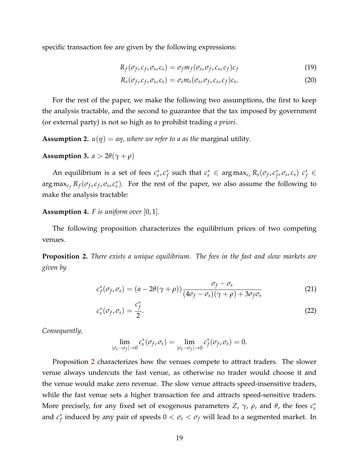specific transaction fee are given by the following expressions:

$$
R_f(\sigma_f, c_f, \sigma_s, c_s) = \sigma_f m_f(\sigma_s, \sigma_f, c_s, c_f) c_f \tag{19}
$$

$$
R_s(\sigma_f, c_f, \sigma_s, c_s) = \sigma_s m_s(\sigma_s, \sigma_f, c_s, c_f)c_s.
$$
 (20)

For the rest of the paper, we make the following two assumptions, the first to keep the analysis tractable, and the second to guarantee that the tax imposed by government (or external party) is not so high as to prohibit trading *a priori*.

**Assumption 2.**  $u(\eta) = a\eta$ , where we refer to a as the marginal utility.

<span id="page-19-1"></span>**Assumption 3.**  $a > 2\theta(\gamma + \rho)$ 

An equilibrium is a set of fees  $c_s^*, c_f^*$  $f$  such that  $c_s^* \in \argmax_{c_s} R_s(\sigma_f, c_f^*)$  $\left( \begin{array}{c} \n f \\ \n f \n \end{array} \right)$  *c*<sub> $\circ$ </sub>  $\circ$   $f \in$  $\arg \max_{c_f} R_f(\sigma_f, c_f, \sigma_s, c_s^*)$ . For the rest of the paper, we also assume the following to make the analysis tractable:

**Assumption 4.** *F is uniform over* [0, 1]*.*

The following proposition characterizes the equilibrium prices of two competing venues.

<span id="page-19-0"></span>**Proposition 2.** *There exists a unique equilibrium. The fees in the fast and slow markets are given by*

$$
c_f^*(\sigma_f, \sigma_s) = (a - 2\theta(\gamma + \rho)) \frac{\sigma_f - \sigma_s}{(4\sigma_f - \sigma_s)(\gamma + \rho) + 3\sigma_f \sigma_s}
$$
(21)

$$
c_s^*(\sigma_f, \sigma_s) = \frac{c_f^*}{2}.
$$
\n(22)

*Consequently,*

$$
\lim_{|\sigma_s-\sigma_f|\to 0}c_s^*(\sigma_f,\sigma_s)=\lim_{|\sigma_s-\sigma_f|\to 0}c_f^*(\sigma_f,\sigma_s)=0.
$$

Proposition [2](#page-19-0) characterizes how the venues compete to attract traders. The slower venue always undercuts the fast venue, as otherwise no trader would choose it and the venue would make zero revenue. The slow venue attracts speed-insensitive traders, while the fast venue sets a higher transaction fee and attracts speed-sensitive traders. More precisely, for any fixed set of exogenous parameters  $Z$ ,  $\gamma$ ,  $\rho$ , and  $\theta$ , the fees  $c_s^*$ and *c* ∗  $f_f^*$  induced by any pair of speeds  $0 < \sigma_s < \sigma_f$  will lead to a segmented market. In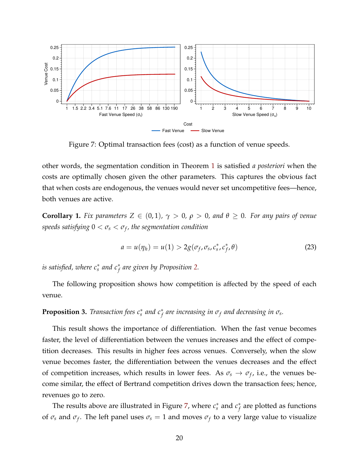<span id="page-20-1"></span>

Figure 7: Optimal transaction fees (cost) as a function of venue speeds.

other words, the segmentation condition in Theorem [1](#page-8-0) is satisfied *a posteriori* when the costs are optimally chosen given the other parameters. This captures the obvious fact that when costs are endogenous, the venues would never set uncompetitive fees—hence, both venues are active.

**Corollary 1.** *Fix parameters*  $Z \in (0,1)$ *,*  $\gamma > 0$ *,*  $\rho > 0$ *, and*  $\theta \ge 0$ *. For any pairs of venue speeds satisfying* 0 < *σ<sup>s</sup>* < *σ<sup>f</sup> , the segmentation condition*

$$
a = u(\eta_h) = u(1) > 2g(\sigma_f, \sigma_s, c_s^*, c_f^*, \theta)
$$
\n(23)

*is satisfied, where*  $c_s^*$  *and*  $c_f^*$  *are given by Proposition [2.](#page-19-0)* 

The following proposition shows how competition is affected by the speed of each venue.

# <span id="page-20-0"></span>**Proposition 3.** *Transaction fees*  $c_s^*$  *and*  $c_f^*$  *are increasing in*  $\sigma_f$  *and decreasing in*  $\sigma_s$ *.*

This result shows the importance of differentiation. When the fast venue becomes faster, the level of differentiation between the venues increases and the effect of competition decreases. This results in higher fees across venues. Conversely, when the slow venue becomes faster, the differentiation between the venues decreases and the effect of competition increases, which results in lower fees. As  $\sigma_s \rightarrow \sigma_f$ , i.e., the venues become similar, the effect of Bertrand competition drives down the transaction fees; hence, revenues go to zero.

The results above are illustrated in Figure [7,](#page-20-1) where  $c_s^*$  and  $c_f^*$ *f* are plotted as functions of  $\sigma_s$  and  $\sigma_f$ . The left panel uses  $\sigma_s = 1$  and moves  $\sigma_f$  to a very large value to visualize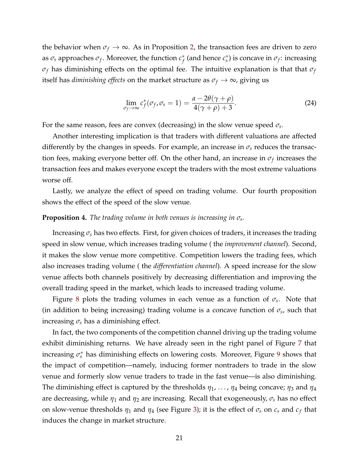the behavior when  $\sigma_f \to \infty$ . As in Proposition [2,](#page-19-0) the transaction fees are driven to zero as *σ<sup>s</sup>* approaches *σ<sup>f</sup>* . Moreover, the function *c* ∗  $f$ <sup>\*</sup> (and hence  $c_s^*$ ) is concave in  $\sigma_f$ : increasing *σ<sup>f</sup>* has diminishing effects on the optimal fee. The intuitive explanation is that that *σ<sup>f</sup>* itself has *diminishing effects* on the market structure as  $\sigma_f \rightarrow \infty$ , giving us

$$
\lim_{\sigma_f \to \infty} c_f^*(\sigma_f, \sigma_s = 1) = \frac{a - 2\theta(\gamma + \rho)}{4(\gamma + \rho) + 3}.
$$
\n(24)

For the same reason, fees are convex (decreasing) in the slow venue speed *σ<sup>s</sup>* .

Another interesting implication is that traders with different valuations are affected differently by the changes in speeds. For example, an increase in  $\sigma_s$  reduces the transaction fees, making everyone better off. On the other hand, an increase in  $\sigma_f$  increases the transaction fees and makes everyone except the traders with the most extreme valuations worse off.

Lastly, we analyze the effect of speed on trading volume. Our fourth proposition shows the effect of the speed of the slow venue.

### <span id="page-21-0"></span>**Proposition 4.** *The trading volume in both venues is increasing in σ<sup>s</sup> .*

Increasing  $\sigma_s$  has two effects. First, for given choices of traders, it increases the trading speed in slow venue, which increases trading volume ( the *improvement channel*). Second, it makes the slow venue more competitive. Competition lowers the trading fees, which also increases trading volume ( the *differentiation channel*). A speed increase for the slow venue affects both channels positively by decreasing differentiation and improving the overall trading speed in the market, which leads to increased trading volume.

Figure [8](#page-22-1) plots the trading volumes in each venue as a function of *σ<sup>s</sup>* . Note that (in addition to being increasing) trading volume is a concave function of  $\sigma_s$ , such that increasing  $\sigma_s$  has a diminishing effect.

In fact, the two components of the competition channel driving up the trading volume exhibit diminishing returns. We have already seen in the right panel of Figure [7](#page-20-1) that increasing  $\sigma_s^*$  has diminishing effects on lowering costs. Moreover, Figure [9](#page-23-0) shows that the impact of competition—namely, inducing former nontraders to trade in the slow venue and formerly slow venue traders to trade in the fast venue—is also diminishing. The diminishing effect is captured by the thresholds *η*1, . . . , *η*<sup>4</sup> being concave; *η*<sup>3</sup> and *η*<sup>4</sup> are decreasing, while *η*<sup>1</sup> and *η*<sup>2</sup> are increasing. Recall that exogeneously, *σ<sup>s</sup>* has no effect on slow-venue thresholds  $\eta_1$  and  $\eta_4$  (see Figure [3\)](#page-13-0); it is the effect of  $\sigma_s$  on  $c_s$  and  $c_f$  that induces the change in market structure.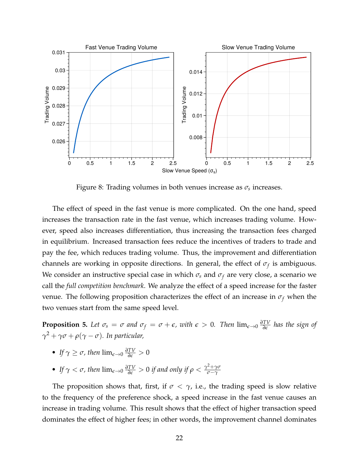<span id="page-22-1"></span>

Figure 8: Trading volumes in both venues increase as *σ<sup>s</sup>* increases.

The effect of speed in the fast venue is more complicated. On the one hand, speed increases the transaction rate in the fast venue, which increases trading volume. However, speed also increases differentiation, thus increasing the transaction fees charged in equilibrium. Increased transaction fees reduce the incentives of traders to trade and pay the fee, which reduces trading volume. Thus, the improvement and differentiation channels are working in opposite directions. In general, the effect of *σ<sup>f</sup>* is ambiguous. We consider an instructive special case in which  $\sigma_s$  and  $\sigma_f$  are very close, a scenario we call the *full competition benchmark*. We analyze the effect of a speed increase for the faster venue. The following proposition characterizes the effect of an increase in  $\sigma_f$  when the two venues start from the same speed level.

<span id="page-22-0"></span>**Proposition 5.** Let  $\sigma_s = \sigma$  and  $\sigma_f = \sigma + \epsilon$ , with  $\epsilon > 0$ . Then  $\lim_{\epsilon \to 0} \frac{\partial TV}{\partial \epsilon}$  has the sign of *γ* <sup>2</sup> + *γσ* + *ρ*(*γ* − *σ*)*. In particular,*

- *If*  $\gamma \geq \sigma$ , then  $\lim_{\epsilon \to 0} \frac{\partial TV}{\partial \epsilon} > 0$
- If  $\gamma < \sigma$ , then  $\lim_{\epsilon \to 0} \frac{\partial TV}{\partial \epsilon} > 0$  if and only if  $\rho < \frac{\gamma^2 + \gamma \sigma}{\sigma \gamma}$ *σ*−*γ*

The proposition shows that, first, if  $\sigma < \gamma$ , i.e., the trading speed is slow relative to the frequency of the preference shock, a speed increase in the fast venue causes an increase in trading volume. This result shows that the effect of higher transaction speed dominates the effect of higher fees; in other words, the improvement channel dominates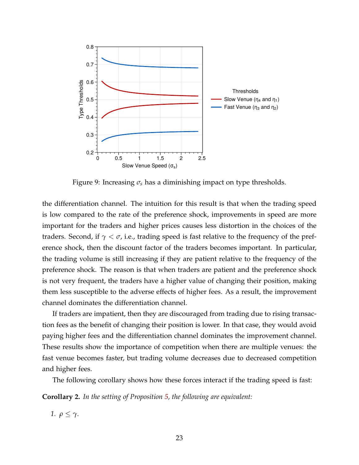<span id="page-23-0"></span>

Figure 9: Increasing  $\sigma_s$  has a diminishing impact on type thresholds.

the differentiation channel. The intuition for this result is that when the trading speed is low compared to the rate of the preference shock, improvements in speed are more important for the traders and higher prices causes less distortion in the choices of the traders. Second, if  $\gamma < \sigma$ , i.e., trading speed is fast relative to the frequency of the preference shock, then the discount factor of the traders becomes important. In particular, the trading volume is still increasing if they are patient relative to the frequency of the preference shock. The reason is that when traders are patient and the preference shock is not very frequent, the traders have a higher value of changing their position, making them less susceptible to the adverse effects of higher fees. As a result, the improvement channel dominates the differentiation channel.

If traders are impatient, then they are discouraged from trading due to rising transaction fees as the benefit of changing their position is lower. In that case, they would avoid paying higher fees and the differentiation channel dominates the improvement channel. These results show the importance of competition when there are multiple venues: the fast venue becomes faster, but trading volume decreases due to decreased competition and higher fees.

The following corollary shows how these forces interact if the trading speed is fast:

**Corollary 2.** *In the setting of Proposition [5,](#page-22-0) the following are equivalent:*

*1.*  $ρ \leq γ$ *.*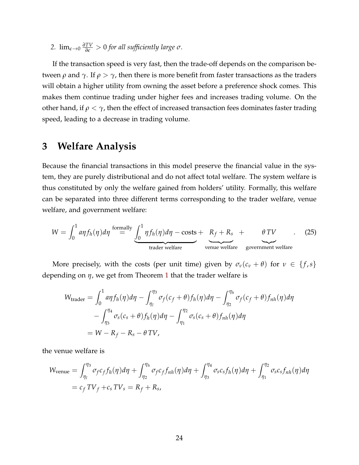2.  $\lim_{\epsilon \to 0} \frac{\partial TV}{\partial \epsilon} > 0$  for all sufficiently large  $\sigma$ .

If the transaction speed is very fast, then the trade-off depends on the comparison between *ρ* and *γ*. If  $\rho > \gamma$ , then there is more benefit from faster transactions as the traders will obtain a higher utility from owning the asset before a preference shock comes. This makes them continue trading under higher fees and increases trading volume. On the other hand, if  $\rho < \gamma$ , then the effect of increased transaction fees dominates faster trading speed, leading to a decrease in trading volume.

# <span id="page-24-0"></span>**3 Welfare Analysis**

Because the financial transactions in this model preserve the financial value in the system, they are purely distributional and do not affect total welfare. The system welfare is thus constituted by only the welfare gained from holders' utility. Formally, this welfare can be separated into three different terms corresponding to the trader welfare, venue welfare, and government welfare:

$$
W = \int_0^1 a\eta f_h(\eta) d\eta \stackrel{\text{formally}}{=} \underbrace{\int_0^1 \eta f_h(\eta) d\eta - \text{costs}}_{\text{trade welfare}} + \underbrace{R_f + R_s}_{\text{venue welfare}} + \underbrace{\theta \, TV}_{\text{government welfare}}.
$$
 (25)

More precisely, with the costs (per unit time) given by  $\sigma_\nu(c_\nu + \theta)$  for  $\nu \in \{f, s\}$ depending on *η*, we get from Theorem [1](#page-8-0) that the trader welfare is

$$
W_{\text{tradeer}} = \int_0^1 a\eta f_h(\eta) d\eta - \int_{\eta_1}^{\eta_3} \sigma_f(c_f + \theta) f_h(\eta) d\eta - \int_{\eta_2}^{\eta_h} \sigma_f(c_f + \theta) f_{nh}(\eta) d\eta
$$
  
 
$$
- \int_{\eta_3}^{\eta_4} \sigma_s(c_s + \theta) f_h(\eta) d\eta - \int_{\eta_1}^{\eta_2} \sigma_s(c_s + \theta) f_{nh}(\eta) d\eta
$$
  
 
$$
= W - R_f - R_s - \theta \, TV,
$$

the venue welfare is

$$
W_{\text{venue}} = \int_{\eta_1}^{\eta_3} \sigma_f c_f f_h(\eta) d\eta + \int_{\eta_2}^{\eta_h} \sigma_f c_f f_{nh}(\eta) d\eta + \int_{\eta_3}^{\eta_4} \sigma_s c_s f_h(\eta) d\eta + \int_{\eta_1}^{\eta_2} \sigma_s c_s f_{nh}(\eta) d\eta
$$
  
=  $c_f T V_f + c_s T V_s = R_f + R_s$ ,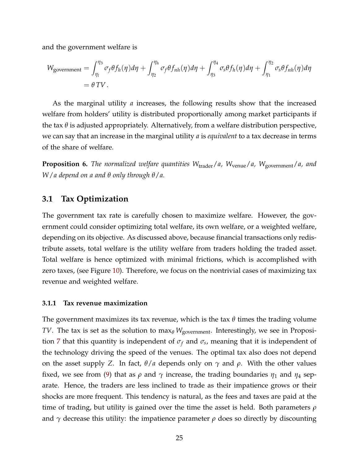and the government welfare is

$$
W_{\text{government}} = \int_{\eta_1}^{\eta_3} \sigma_f \theta f_h(\eta) d\eta + \int_{\eta_2}^{\eta_h} \sigma_f \theta f_{nh}(\eta) d\eta + \int_{\eta_3}^{\eta_4} \sigma_s \theta f_h(\eta) d\eta + \int_{\eta_1}^{\eta_2} \sigma_s \theta f_{nh}(\eta) d\eta
$$
  
=  $\theta \, TV$ .

As the marginal utility *a* increases, the following results show that the increased welfare from holders' utility is distributed proportionally among market participants if the tax *θ* is adjusted appropriately. Alternatively, from a welfare distribution perspective, we can say that an increase in the marginal utility *a* is *equivalent* to a tax decrease in terms of the share of welfare.

<span id="page-25-0"></span>**Proposition 6.** *The normalized welfare quantities*  $W_{\text{trade}}/a$ ,  $W_{\text{venue}}/a$ ,  $W_{\text{government}}/a$ , and *W*/*a depend on a and θ only through θ*/*a.*

### **3.1 Tax Optimization**

The government tax rate is carefully chosen to maximize welfare. However, the government could consider optimizing total welfare, its own welfare, or a weighted welfare, depending on its objective. As discussed above, because financial transactions only redistribute assets, total welfare is the utility welfare from traders holding the traded asset. Total welfare is hence optimized with minimal frictions, which is accomplished with zero taxes, (see Figure [10\)](#page-26-1). Therefore, we focus on the nontrivial cases of maximizing tax revenue and weighted welfare.

#### <span id="page-25-1"></span>**3.1.1 Tax revenue maximization**

The government maximizes its tax revenue, which is the tax *θ* times the trading volume *TV*. The tax is set as the solution to max<sub>θ</sub> *W*<sub>government</sub>. Interestingly, we see in Proposi-tion [7](#page-26-0) that this quantity is independent of  $\sigma_f$  and  $\sigma_s$ , meaning that it is independent of the technology driving the speed of the venues. The optimal tax also does not depend on the asset supply *Z*. In fact, *θ*/*a* depends only on *γ* and *ρ*. With the other values fixed, we see from [\(9\)](#page-9-0) that as  $\rho$  and  $\gamma$  increase, the trading boundaries  $\eta_1$  and  $\eta_4$  separate. Hence, the traders are less inclined to trade as their impatience grows or their shocks are more frequent. This tendency is natural, as the fees and taxes are paid at the time of trading, but utility is gained over the time the asset is held. Both parameters *ρ* and  $\gamma$  decrease this utility: the impatience parameter  $\rho$  does so directly by discounting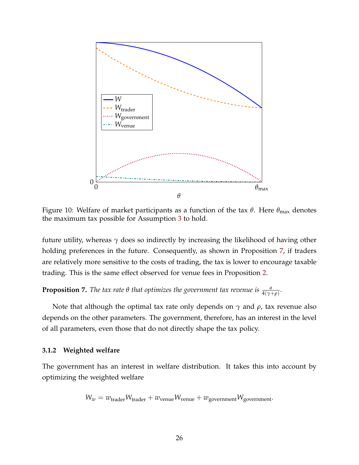<span id="page-26-1"></span>

Figure 10: Welfare of market participants as a function of the tax *θ*. Here *θ*max denotes the maximum tax possible for Assumption [3](#page-19-1) to hold.

future utility, whereas  $\gamma$  does so indirectly by increasing the likelihood of having other holding preferences in the future. Consequently, as shown in Proposition [7,](#page-26-0) if traders are relatively more sensitive to the costs of trading, the tax is lower to encourage taxable trading. This is the same effect observed for venue fees in Proposition [2.](#page-19-0)

<span id="page-26-0"></span>**Proposition 7.** *The tax rate*  $\theta$  *that optimizes the government tax revenue is*  $\frac{a}{4(\gamma+\rho)}$ *.* 

Note that although the optimal tax rate only depends on *γ* and *ρ*, tax revenue also depends on the other parameters. The government, therefore, has an interest in the level of all parameters, even those that do not directly shape the tax policy.

#### **3.1.2 Weighted welfare**

The government has an interest in welfare distribution. It takes this into account by optimizing the weighted welfare

$$
W_w = w_{\text{trade}} W_{\text{trade}} + w_{\text{venue}} W_{\text{venue}} + w_{\text{government}} W_{\text{government}}.
$$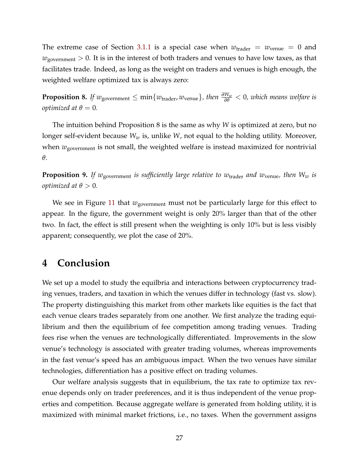The extreme case of Section [3.1.1](#page-25-1) is a special case when  $w_{\text{trader}} = w_{\text{venue}} = 0$  and  $w_{\text{government}} > 0$ . It is in the interest of both traders and venues to have low taxes, as that facilitates trade. Indeed, as long as the weight on traders and venues is high enough, the weighted welfare optimized tax is always zero:

<span id="page-27-0"></span>**Proposition 8.** *If w*<sub>government  $\leq \min\{w_{\text{trader}}, w_{\text{venue}}\}$ , then  $\frac{\partial W_w}{\partial \theta} < 0$ , which means welfare is</sub> *optimized at*  $\theta = 0$ *.* 

The intuition behind Proposition 8 is the same as why *W* is optimized at zero, but no longer self-evident because *W<sup>w</sup>* is, unlike *W*, not equal to the holding utility. Moreover, when  $w_{\text{government}}$  is not small, the weighted welfare is instead maximized for nontrivial *θ*.

<span id="page-27-1"></span>**Proposition 9.** *If w*<sub>government *is sufficiently large relative to w*<sub>trader</sub> *and w*<sub>venue</sub>, *then*  $W_w$  *is*</sub> *optimized at*  $\theta > 0$ *.* 

We see in Figure [11](#page-28-0) that *w*government must not be particularly large for this effect to appear. In the figure, the government weight is only 20% larger than that of the other two. In fact, the effect is still present when the weighting is only 10% but is less visibly apparent; consequently, we plot the case of 20%.

# **4 Conclusion**

We set up a model to study the equilbria and interactions between cryptocurrency trading venues, traders, and taxation in which the venues differ in technology (fast vs. slow). The property distinguishing this market from other markets like equities is the fact that each venue clears trades separately from one another. We first analyze the trading equilibrium and then the equilibrium of fee competition among trading venues. Trading fees rise when the venues are technologically differentiated. Improvements in the slow venue's technology is associated with greater trading volumes, whereas improvements in the fast venue's speed has an ambiguous impact. When the two venues have similar technologies, differentiation has a positive effect on trading volumes.

Our welfare analysis suggests that in equilibrium, the tax rate to optimize tax revenue depends only on trader preferences, and it is thus independent of the venue properties and competition. Because aggregate welfare is generated from holding utility, it is maximized with minimal market frictions, i.e., no taxes. When the government assigns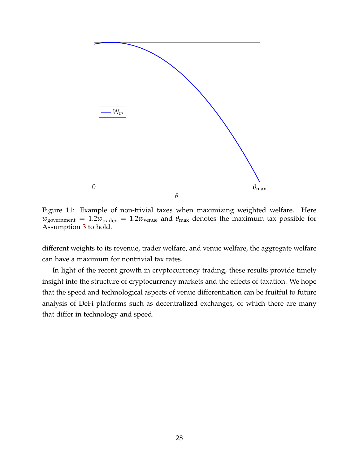<span id="page-28-0"></span>

Figure 11: Example of non-trivial taxes when maximizing weighted welfare. Here  $w_{\text{government}} = 1.2w_{\text{trader}} = 1.2w_{\text{venue}}$  and  $\theta_{\text{max}}$  denotes the maximum tax possible for Assumption [3](#page-19-1) to hold.

different weights to its revenue, trader welfare, and venue welfare, the aggregate welfare can have a maximum for nontrivial tax rates.

In light of the recent growth in cryptocurrency trading, these results provide timely insight into the structure of cryptocurrency markets and the effects of taxation. We hope that the speed and technological aspects of venue differentiation can be fruitful to future analysis of DeFi platforms such as decentralized exchanges, of which there are many that differ in technology and speed.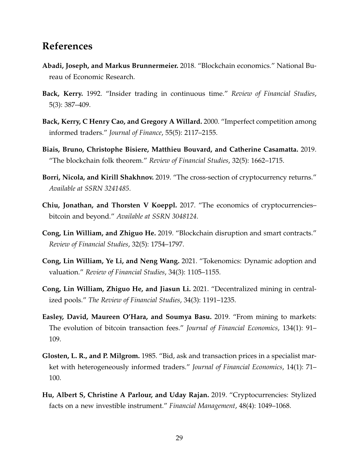# **References**

- <span id="page-29-0"></span>**Abadi, Joseph, and Markus Brunnermeier.** 2018. "Blockchain economics." National Bureau of Economic Research.
- <span id="page-29-10"></span>**Back, Kerry.** 1992. "Insider trading in continuous time." *Review of Financial Studies*, 5(3): 387–409.
- <span id="page-29-11"></span>**Back, Kerry, C Henry Cao, and Gregory A Willard.** 2000. "Imperfect competition among informed traders." *Journal of Finance*, 55(5): 2117–2155.
- <span id="page-29-1"></span>**Biais, Bruno, Christophe Bisiere, Matthieu Bouvard, and Catherine Casamatta.** 2019. "The blockchain folk theorem." *Review of Financial Studies*, 32(5): 1662–1715.
- <span id="page-29-8"></span>**Borri, Nicola, and Kirill Shakhnov.** 2019. "The cross-section of cryptocurrency returns." *Available at SSRN 3241485*.
- <span id="page-29-2"></span>**Chiu, Jonathan, and Thorsten V Koeppl.** 2017. "The economics of cryptocurrencies– bitcoin and beyond." *Available at SSRN 3048124*.
- <span id="page-29-3"></span>**Cong, Lin William, and Zhiguo He.** 2019. "Blockchain disruption and smart contracts." *Review of Financial Studies*, 32(5): 1754–1797.
- <span id="page-29-4"></span>**Cong, Lin William, Ye Li, and Neng Wang.** 2021. "Tokenomics: Dynamic adoption and valuation." *Review of Financial Studies*, 34(3): 1105–1155.
- <span id="page-29-5"></span>**Cong, Lin William, Zhiguo He, and Jiasun Li.** 2021. "Decentralized mining in centralized pools." *The Review of Financial Studies*, 34(3): 1191–1235.
- <span id="page-29-6"></span>**Easley, David, Maureen O'Hara, and Soumya Basu.** 2019. "From mining to markets: The evolution of bitcoin transaction fees." *Journal of Financial Economics*, 134(1): 91– 109.
- <span id="page-29-9"></span>**Glosten, L. R., and P. Milgrom.** 1985. "Bid, ask and transaction prices in a specialist market with heterogeneously informed traders." *Journal of Financial Economics*, 14(1): 71– 100.
- <span id="page-29-7"></span>**Hu, Albert S, Christine A Parlour, and Uday Rajan.** 2019. "Cryptocurrencies: Stylized facts on a new investible instrument." *Financial Management*, 48(4): 1049–1068.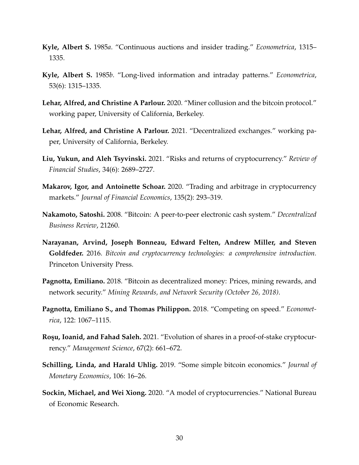- <span id="page-30-10"></span>**Kyle, Albert S.** 1985*a*. "Continuous auctions and insider trading." *Econometrica*, 1315– 1335.
- <span id="page-30-11"></span>**Kyle, Albert S.** 1985*b*. "Long-lived information and intraday patterns." *Econometrica*, 53(6): 1315–1335.
- <span id="page-30-3"></span>**Lehar, Alfred, and Christine A Parlour.** 2020. "Miner collusion and the bitcoin protocol." working paper, University of California, Berkeley.
- <span id="page-30-8"></span>**Lehar, Alfred, and Christine A Parlour.** 2021. "Decentralized exchanges." working paper, University of California, Berkeley.
- <span id="page-30-9"></span>**Liu, Yukun, and Aleh Tsyvinski.** 2021. "Risks and returns of cryptocurrency." *Review of Financial Studies*, 34(6): 2689–2727.
- <span id="page-30-0"></span>**Makarov, Igor, and Antoinette Schoar.** 2020. "Trading and arbitrage in cryptocurrency markets." *Journal of Financial Economics*, 135(2): 293–319.
- <span id="page-30-1"></span>**Nakamoto, Satoshi.** 2008. "Bitcoin: A peer-to-peer electronic cash system." *Decentralized Business Review*, 21260.
- <span id="page-30-2"></span>**Narayanan, Arvind, Joseph Bonneau, Edward Felten, Andrew Miller, and Steven Goldfeder.** 2016. *Bitcoin and cryptocurrency technologies: a comprehensive introduction.* Princeton University Press.
- <span id="page-30-4"></span>**Pagnotta, Emiliano.** 2018. "Bitcoin as decentralized money: Prices, mining rewards, and network security." *Mining Rewards, and Network Security (October 26, 2018)*.
- <span id="page-30-12"></span>**Pagnotta, Emiliano S., and Thomas Philippon.** 2018. "Competing on speed." *Econometrica*, 122: 1067–1115.
- <span id="page-30-7"></span>**Roşu, Ioanid, and Fahad Saleh.** 2021. "Evolution of shares in a proof-of-stake cryptocurrency." *Management Science*, 67(2): 661–672.
- <span id="page-30-5"></span>**Schilling, Linda, and Harald Uhlig.** 2019. "Some simple bitcoin economics." *Journal of Monetary Economics*, 106: 16–26.
- <span id="page-30-6"></span>**Sockin, Michael, and Wei Xiong.** 2020. "A model of cryptocurrencies." National Bureau of Economic Research.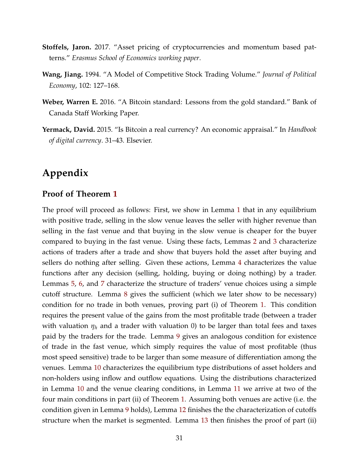- <span id="page-31-2"></span>**Stoffels, Jaron.** 2017. "Asset pricing of cryptocurrencies and momentum based patterns." *Erasmus School of Economics working paper*.
- <span id="page-31-3"></span>**Wang, Jiang.** 1994. "A Model of Competitive Stock Trading Volume." *Journal of Political Economy*, 102: 127–168.
- <span id="page-31-1"></span>**Weber, Warren E.** 2016. "A Bitcoin standard: Lessons from the gold standard." Bank of Canada Staff Working Paper.
- <span id="page-31-0"></span>**Yermack, David.** 2015. "Is Bitcoin a real currency? An economic appraisal." In *Handbook of digital currency*. 31–43. Elsevier.

# **Appendix**

### **Proof of Theorem [1](#page-8-0)**

The proof will proceed as follows: First, we show in Lemma [1](#page-32-0) that in any equilibrium with positive trade, selling in the slow venue leaves the seller with higher revenue than selling in the fast venue and that buying in the slow venue is cheaper for the buyer compared to buying in the fast venue. Using these facts, Lemmas [2](#page-34-0) and [3](#page-35-0) characterize actions of traders after a trade and show that buyers hold the asset after buying and sellers do nothing after selling. Given these actions, Lemma [4](#page-36-0) characterizes the value functions after any decision (selling, holding, buying or doing nothing) by a trader. Lemmas [5,](#page-36-1) [6,](#page-37-0) and [7](#page-37-1) characterize the structure of traders' venue choices using a simple cutoff structure. Lemma [8](#page-37-2) gives the sufficient (which we later show to be necessary) condition for no trade in both venues, proving part (i) of Theorem [1.](#page-8-0) This condition requires the present value of the gains from the most profitable trade (between a trader with valuation  $\eta_h$  and a trader with valuation 0) to be larger than total fees and taxes paid by the traders for the trade. Lemma [9](#page-38-0) gives an analogous condition for existence of trade in the fast venue, which simply requires the value of most profitable (thus most speed sensitive) trade to be larger than some measure of differentiation among the venues. Lemma [10](#page-39-0) characterizes the equilibrium type distributions of asset holders and non-holders using inflow and outflow equations. Using the distributions characterized in Lemma [10](#page-39-0) and the venue clearing conditions, in Lemma [11](#page-41-0) we arrive at two of the four main conditions in part (ii) of Theorem [1.](#page-8-0) Assuming both venues are active (i.e. the condition given in Lemma [9](#page-38-0) holds), Lemma [12](#page-41-1) finishes the the characterization of cutoffs structure when the market is segmented. Lemma [13](#page-44-0) then finishes the proof of part (ii)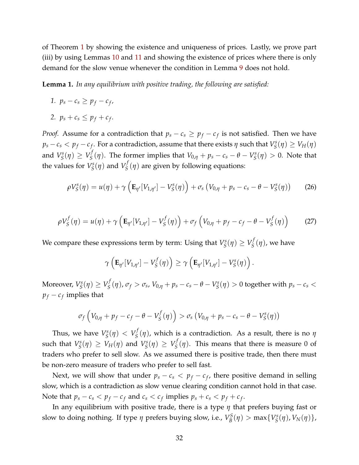of Theorem [1](#page-8-0) by showing the existence and uniqueness of prices. Lastly, we prove part (iii) by using Lemmas [10](#page-39-0) and [11](#page-41-0) and showing the existence of prices where there is only demand for the slow venue whenever the condition in Lemma [9](#page-38-0) does not hold.

<span id="page-32-0"></span>**Lemma 1.** *In any equilibrium with positive trading, the following are satisfied:*

- *1.*  $p_s c_s \geq p_f c_f$
- 2.  $p_s + c_s \leq p_f + c_f$ .

*Proof.* Assume for a contradiction that  $p_s - c_s \geq p_f - c_f$  is not satisfied. Then we have  $p_s - c_s < p_f - c_f$ . For a contradiction, assume that there exists  $\eta$  such that  $V_S^s$  $V_S^s(\eta) \geq V_H(\eta)$ and *V s*  $V_S^s(\eta) \geq V_S^f$ *S* (*η*). The former implies that *V*0,*<sup>η</sup>* + *p<sup>s</sup>* − *c<sup>s</sup>* − *θ* − *V s*  $S_{\mathcal{S}}^{s}(\eta) > 0$ . Note that the values for *V s*  $V_S^s(\eta)$  and  $V_S^f$  $S(S(\eta))$  are given by following equations:

$$
\rho V_S^s(\eta) = u(\eta) + \gamma \left( \mathbf{E}_{\eta'}[V_{1,\eta'}] - V_S^s(\eta) \right) + \sigma_s \left( V_{0,\eta} + p_s - c_s - \theta - V_S^s(\eta) \right) \tag{26}
$$

$$
\rho V_S^f(\eta) = u(\eta) + \gamma \left( \mathbf{E}_{\eta'}[V_{1,\eta'}] - V_S^f(\eta) \right) + \sigma_f \left( V_{0,\eta} + p_f - c_f - \theta - V_S^f(\eta) \right) \tag{27}
$$

We compare these expressions term by term: Using that *V s*  $V_S^s(\eta) \geq V_S^f$  $S^{\prime}(\eta)$ , we have

$$
\gamma\left(\mathbf{E}_{\eta'}[V_{1,\eta'}]-V_{S}^{f}(\eta)\right)\geq \gamma\left(\mathbf{E}_{\eta'}[V_{1,\eta'}]-V_{S}^{s}(\eta)\right).
$$

Moreover, *V s*  $V_S^s(\eta) \geq V_S^f$ *S*<sup>*f*</sup></sup>(η),  $σ_f > σ_s$ ,  $V_{0,\eta} + p_s - c_s - θ - V_s^s$  $S^s_S(\eta) > 0$  together with  $p_s - c_s <$  $p_f - c_f$  implies that

$$
\sigma_f\left(V_{0,\eta} + p_f - c_f - \theta - V_S^f(\eta)\right) > \sigma_s\left(V_{0,\eta} + p_s - c_s - \theta - V_S^s(\eta)\right)
$$

Thus, we have *V s*  $V_S^s(\eta) < V_S^f$ *S* (*η*), which is a contradiction. As a result, there is no *η* such that *V s*  $V_S^s(\eta) \geq V_H(\eta)$  and  $V_S^s$  $V_S^s(\eta) \geq V_S^f$  $S<sub>S</sub>(η)$ . This means that there is measure 0 of traders who prefer to sell slow. As we assumed there is positive trade, then there must be non-zero measure of traders who prefer to sell fast.

Next, we will show that under  $p_s - c_s < p_f - c_f$ , there positive demand in selling slow, which is a contradiction as slow venue clearing condition cannot hold in that case. Note that  $p_s - c_s < p_f - c_f$  and  $c_s < c_f$  implies  $p_s + c_s < p_f + c_f$ .

In any equilibrium with positive trade, there is a type *η* that prefers buying fast or slow to doing nothing. If type *η* prefers buying slow, i.e., *V S*  $B^S_B(\eta)$  > max $\{V_S^s\}$ *S* (*η*), *VN*(*η*)},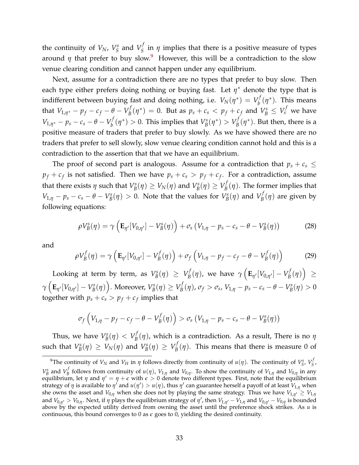the continuity of  $V_N$ ,  $V_S^s$  $V_S^s$  and  $V_S^f$  $S$  in  $\eta$  implies that there is a positive measure of types around  $\eta$  that prefer to buy slow.<sup>[9](#page-33-0)</sup> However, this will be a contradiction to the slow venue clearing condition and cannot happen under any equilibrium.

Next, assume for a contradiction there are no types that prefer to buy slow. Then each type either prefers doing nothing or buying fast. Let  $\eta^*$  denote the type that is indifferent between buying fast and doing nothing, i.e.  $V_N(\eta^*) = V_b^f$  $\sigma_b^f(\eta^*)$ . This means that  $V_{1,\eta^*} - p_f - c_f - \theta - V_B^f$  $B_B^f(\eta^*) = 0$ . But as  $p_s + c_s < p_f + c_f$  and  $V_B^s \le V_s^f$  we have  $V_{1,\eta^*} - p_s - c_s - \theta - V_b^f$  $b^f_b(\eta^*) > 0$ . This implies that  $V_B^s$  $V_B^s(\eta^*) > V_B^f$  $B(f/\eta^*)$ . But then, there is a positive measure of traders that prefer to buy slowly. As we have showed there are no traders that prefer to sell slowly, slow venue clearing condition cannot hold and this is a contradiction to the assertion that that we have an equilibrium.

The proof of second part is analogous. Assume for a contradiction that  $p_s + c_s \leq$  $p_f + c_f$  is not satisfied. Then we have  $p_s + c_s > p_f + c_f$ . For a contradiction, assume that there exists  $\eta$  such that  $V_B^s$  $V_B^{\rm s}(\eta) \geq V_N(\eta)$  and  $V_B^{\rm s}$  $V_B^s(\eta) \geq V_B^f$  $\mathcal{B}_{B}^{'}(\eta)$ . The former implies that *V*<sub>1,*η*</sub> – *p*<sub>*s*</sub> – *c*<sub>*s*</sub> – *θ* – *V*<sub>*B*</sub>  $B_B^s(\eta) > 0$ . Note that the values for  $V_B^s$  $V_B^s(\eta)$  and  $V_B^f$ *B* (*η*) are given by following equations:

$$
\rho V_B^s(\eta) = \gamma \left( \mathbf{E}_{\eta'}[V_{0,\eta'}] - V_B^s(\eta) \right) + \sigma_s \left( V_{1,\eta} - p_s - c_s - \theta - V_B^s(\eta) \right) \tag{28}
$$

and

$$
\rho V_B^f(\eta) = \gamma \left( \mathbf{E}_{\eta'}[V_{0,\eta'}] - V_B^f(\eta) \right) + \sigma_f \left( V_{1,\eta} - p_f - c_f - \theta - V_B^f(\eta) \right) \tag{29}
$$

Looking at term by term, as *V s*  $V_B^s(\eta) \geq V_B^f$  $\gamma_B^f(\eta)$ , we have  $\gamma\left(\mathbf{E}_{\eta'}[V_{0,\eta'}]-V_B^f\right)$  $\mathcal{L}_{B}^{f}(\eta)\Big) \geq$  $\gamma\left(\mathbf{E}_{\eta'}[V_{0,\eta'}]-V_{B}^{s}\right.$  $\mathcal{B}^{ss}(\eta)\Big)$ . Moreover,  $V_{B}^{ss}$  $V_B^s(\eta) \geq V_B^f$  $B^f(B)$ ,  $\sigma_f > \sigma_s$ ,  $V_{1,\eta} - p_s - c_s - \theta - V_B^s$  $\zeta_B^s(\eta) > 0$ together with  $p_s + c_s > p_f + c_f$  implies that

$$
\sigma_f\left(V_{1,\eta} - p_f - c_f - \theta - V_B^f(\eta)\right) > \sigma_s\left(V_{1,\eta} - p_s - c_s - \theta - V_B^s(\eta)\right)
$$

Thus, we have *V s*  $V_B^s(\eta) < V_B^f$  $B(\eta)$ , which is a contradiction. As a result, There is no *η* such that *V s*  $V_B^s(\eta) \geq V_N(\eta)$  and  $V_B^s$  $V_B^s(\eta) \geq V_B^f$  $B_B^{\prime}(\eta)$ . This means that there is measure 0 of

<span id="page-33-0"></span><sup>&</sup>lt;sup>9</sup>The continuity of  $V_N$  and  $V_H$  in *η* follows directly from continuity of  $u(\eta)$ . The continuity of  $V_S^s$ ,  $V_S^f$ *S* ,  $V_B^s$  and  $V_B^f$ *B*<sup>I</sup> follows from continuity of *u*(*η*), *V*<sub>1,*η*</sub> and *V*<sub>0,*η*</sub>. To show the continuity of *V*<sub>1,*η*</sub> and *V*<sub>0,*η*</sub> in any equilibrium, let  $\eta$  and  $\eta'=\eta+\epsilon$  with  $\epsilon>0$  denote two different types. First, note that the equilibrium strategy of  $\eta$  is available to  $\eta'$  and  $u(\eta') > u(\eta)$ , thus  $\eta'$  can guarantee herself a payoff of at least  $V_{1,\eta}$  when she owns the asset and  $V_{0,\eta}$  when she does not by playing the same strategy. Thus we have  $V_{1,\eta'}\geq V_{1,\eta}$ and  $V_{0,\eta'} > V_{0,\eta}$ . Next, if  $\eta$  plays the equilibrium strategy of  $\eta'$ , then  $V_{1,\eta'} - V_{1,\eta}$  and  $V_{0,\eta'} - V_{0,\eta}$  is bounded above by the expected utility derived from owning the asset until the preference shock strikes. As *u* is continuous, this bound converges to  $0$  as  $\epsilon$  goes to  $0$ , yielding the desired continuity.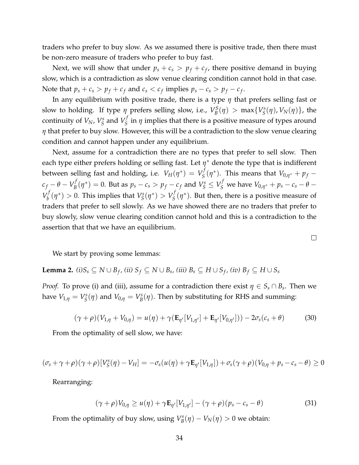traders who prefer to buy slow. As we assumed there is positive trade, then there must be non-zero measure of traders who prefer to buy fast.

Next, we will show that under  $p_s + c_s > p_f + c_f$ , there positive demand in buying slow, which is a contradiction as slow venue clearing condition cannot hold in that case. Note that  $p_s + c_s > p_f + c_f$  and  $c_s < c_f$  implies  $p_s - c_s > p_f - c_f$ .

In any equilibrium with positive trade, there is a type *η* that prefers selling fast or slow to holding. If type  $\eta$  prefers selling slow, i.e.,  $V_B^S$  $b_B^S(\eta) > \max\{V_S^S\}$ *S* (*η*), *VN*(*η*)}, the continuity of *VN*, *V s*  $V_S^s$  and  $V_S^f$ *S* in *η* implies that there is a positive measure of types around *η* that prefer to buy slow. However, this will be a contradiction to the slow venue clearing condition and cannot happen under any equilibrium.

Next, assume for a contradiction there are no types that prefer to sell slow. Then each type either prefers holding or selling fast. Let  $\eta^*$  denote the type that is indifferent between selling fast and holding, i.e.  $V_H(\eta^*) = V_S^f$  $S^{f}(\eta^*)$ . This means that  $V_{0,\eta^*} + p_f$  $c_f - \theta - V_B^f$  $p_B^f(\eta^*)=0$ . But as  $p_s-c_s>p_f-c_f$  and  $V_S^s\leq V_S^f$  we have  $V_{0,\eta^*}+p_s-c_s-\theta-\theta$  $V_h^f$  $b^f_b(\eta^*) > 0$ . This implies that  $V_S^s$  $V_{S}^{s}(\eta^{*}) > V_{S}^{f}$  $S(S<sup>t</sup>(\eta^*))$ . But then, there is a positive measure of traders that prefer to sell slowly. As we have showed there are no traders that prefer to buy slowly, slow venue clearing condition cannot hold and this is a contradiction to the assertion that that we have an equilibrium.

We start by proving some lemmas:

<span id="page-34-0"></span>**Lemma 2.**  $(i)S_s \subseteq N \cup B_f$ ,  $(ii)$   $S_f \subseteq N \cup B_s$ ,  $(iii)$   $B_s \subseteq H \cup S_f$ ,  $(iv)$   $B_f \subseteq H \cup S_s$ 

*Proof.* To prove (i) and (iii), assume for a contradiction there exist  $\eta \in S_s \cap B_s$ . Then we have  $V_{1,\eta} = V_S^s$  $V_S^s(\eta)$  and  $V_{0,\eta} = V_B^s$  $B_B^s(\eta)$ . Then by substituting for RHS and summing:

<span id="page-34-2"></span>
$$
(\gamma + \rho)(V_{1,\eta} + V_{0,\eta}) = u(\eta) + \gamma(\mathbf{E}_{\eta'}[V_{1,\eta'}] + \mathbf{E}_{\eta'}[V_{0,\eta'}])) - 2\sigma_s(c_s + \theta)
$$
(30)

From the optimality of sell slow, we have:

$$
(\sigma_s + \gamma + \rho)(\gamma + \rho)[V_S^s(\eta) - V_H] = -\sigma_s(u(\eta) + \gamma \mathbf{E}_{\eta'}[V_{1,\eta}]) + \sigma_s(\gamma + \rho)(V_{0,\eta} + p_s - c_s - \theta) \ge 0
$$

Rearranging:

<span id="page-34-1"></span>
$$
(\gamma + \rho)V_{0,\eta} \ge u(\eta) + \gamma \mathbf{E}_{\eta'}[V_{1,\eta'}] - (\gamma + \rho)(p_s - c_s - \theta)
$$
\n(31)

From the optimality of buy slow, using *V s*  $B_{B}^{\rm s}(\eta) - V_{N}(\eta) > 0$  we obtain:  $\Box$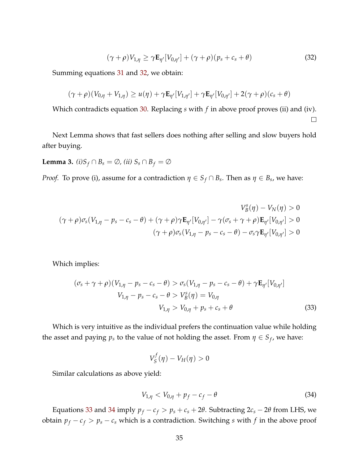<span id="page-35-1"></span>
$$
(\gamma + \rho) V_{1,\eta} \ge \gamma \mathbf{E}_{\eta'}[V_{0,\eta'}] + (\gamma + \rho)(p_s + c_s + \theta)
$$
\n(32)

 $\Box$ 

Summing equations [31](#page-34-1) and [32,](#page-35-1) we obtain:

$$
(\gamma + \rho)(V_{0,\eta} + V_{1,\eta}) \geq u(\eta) + \gamma \mathbf{E}_{\eta'}[V_{1,\eta'}] + \gamma \mathbf{E}_{\eta'}[V_{0,\eta'}] + 2(\gamma + \rho)(c_s + \theta)
$$

Which contradicts equation [30.](#page-34-2) Replacing *s* with *f* in above proof proves (ii) and (iv).

Next Lemma shows that fast sellers does nothing after selling and slow buyers hold after buying.

<span id="page-35-0"></span>**Lemma 3.**  $(i)S_f \cap B_s = \emptyset$ ,  $(ii) S_s \cap B_f = \emptyset$ 

*Proof.* To prove (i), assume for a contradiction  $\eta \in S_f \cap B_s$ . Then as  $\eta \in B_s$ , we have:

$$
V_B^s(\eta) - V_N(\eta) > 0
$$
  

$$
(\gamma + \rho)\sigma_s(V_{1,\eta} - p_s - c_s - \theta) + (\gamma + \rho)\gamma \mathbf{E}_{\eta'}[V_{0,\eta'}] - \gamma(\sigma_s + \gamma + \rho)\mathbf{E}_{\eta'}[V_{0,\eta'}] > 0
$$
  

$$
(\gamma + \rho)\sigma_s(V_{1,\eta} - p_s - c_s - \theta) - \sigma_s\gamma \mathbf{E}_{\eta'}[V_{0,\eta'}] > 0
$$

Which implies:

$$
(\sigma_s + \gamma + \rho)(V_{1,\eta} - p_s - c_s - \theta) > \sigma_s(V_{1,\eta} - p_s - c_s - \theta) + \gamma \mathbf{E}_{\eta'}[V_{0,\eta'}]
$$
  
\n
$$
V_{1,\eta} - p_s - c_s - \theta > V_B^s(\eta) = V_{0,\eta}
$$
  
\n
$$
V_{1,\eta} > V_{0,\eta} + p_s + c_s + \theta
$$
\n(33)

Which is very intuitive as the individual prefers the continuation value while holding the asset and paying  $p_s$  to the value of not holding the asset. From  $\eta \in S_f$ , we have:

<span id="page-35-2"></span>
$$
V_{S}^{f}(\eta)-V_{H}(\eta)>0
$$

Similar calculations as above yield:

<span id="page-35-3"></span>
$$
V_{1,\eta} < V_{0,\eta} + p_f - c_f - \theta \tag{34}
$$

Equations [33](#page-35-2) and [34](#page-35-3) imply  $p_f - c_f > p_s + c_s + 2\theta$ . Subtracting  $2c_s - 2\theta$  from LHS, we obtain  $p_f - c_f > p_s - c_s$  which is a contradiction. Switching *s* with *f* in the above proof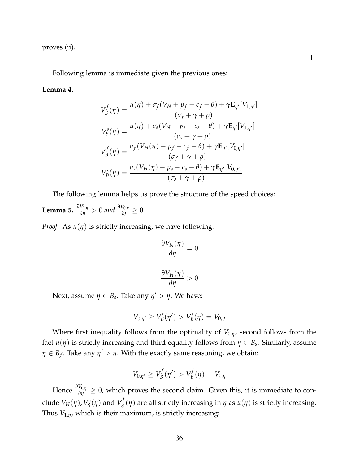proves (ii).

Following lemma is immediate given the previous ones:

#### <span id="page-36-0"></span>**Lemma 4.**

$$
V_S^f(\eta) = \frac{u(\eta) + \sigma_f(V_N + p_f - c_f - \theta) + \gamma \mathbf{E}_{\eta'}[V_{1,\eta'}]}{(\sigma_f + \gamma + \rho)}
$$
  
\n
$$
V_S^s(\eta) = \frac{u(\eta) + \sigma_s(V_N + p_s - c_s - \theta) + \gamma \mathbf{E}_{\eta'}[V_{1,\eta'}]}{(\sigma_s + \gamma + \rho)}
$$
  
\n
$$
V_B^f(\eta) = \frac{\sigma_f(V_H(\eta) - p_f - c_f - \theta) + \gamma \mathbf{E}_{\eta'}[V_{0,\eta'}]}{(\sigma_f + \gamma + \rho)}
$$
  
\n
$$
V_B^s(\eta) = \frac{\sigma_s(V_H(\eta) - p_s - c_s - \theta) + \gamma \mathbf{E}_{\eta'}[V_{0,\eta'}]}{(\sigma_s + \gamma + \rho)}
$$

The following lemma helps us prove the structure of the speed choices:

<span id="page-36-1"></span>**Lemma 5.** 
$$
\frac{\partial V_{1,\eta}}{\partial \eta} > 0
$$
 and  $\frac{\partial V_{0,\eta}}{\partial \eta} \ge 0$ 

*Proof.* As  $u(\eta)$  is strictly increasing, we have following:

$$
\frac{\partial V_N(\eta)}{\partial \eta} = 0
$$

$$
\frac{\partial V_H(\eta)}{\partial \eta} > 0
$$

Next, assume  $\eta \in B_s$ . Take any  $\eta' > \eta$ . We have:

$$
V_{0,\eta'} \geq V_B^s(\eta') > V_B^s(\eta) = V_{0,\eta}
$$

Where first inequality follows from the optimality of *V*0,*η*, second follows from the fact  $u(\eta)$  is strictly increasing and third equality follows from  $\eta \in B_s$ . Similarly, assume  $\eta \in B_f$ . Take any  $\eta' > \eta$ . With the exactly same reasoning, we obtain:

$$
V_{0,\eta'} \geq V_B^f(\eta') > V_B^f(\eta) = V_{0,\eta}
$$

Hence *<sup>∂</sup>V*0,*<sup>η</sup> ∂η* ≥ 0, which proves the second claim. Given this, it is immediate to conclude  $V_H(\eta)$ ,  $V_S^s$  $V_S^s(\eta)$  and  $V_S^f$ *S* (*η*) are all strictly increasing in *η* as *u*(*η*) is strictly increasing. Thus  $V_{1,\eta}$ , which is their maximum, is strictly increasing: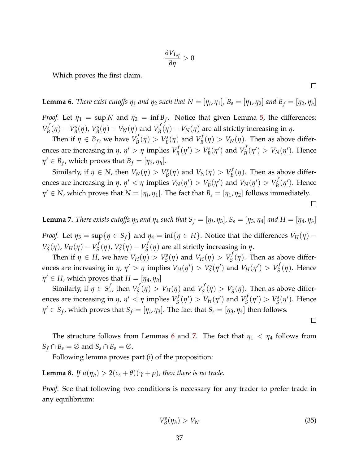$$
\frac{\partial V_{1,\eta}}{\partial \eta} > 0
$$

Which proves the first claim.

<span id="page-37-0"></span>**Lemma 6.** There exist cutoffs  $\eta_1$  and  $\eta_2$  such that  $N = [\eta_1, \eta_1]$ ,  $B_s = [\eta_1, \eta_2]$  and  $B_f = [\eta_2, \eta_h]$ 

*Proof.* Let  $\eta_1 = \sup N$  and  $\eta_2 = \inf B_f$ . Notice that given Lemma [5,](#page-36-1) the differences:  $V^f_R$  $V_B^f(\eta) - V_B^s$ *B* (*η*), *V s*  $V_B^s(\eta) - V_N(\eta)$  and  $V_B^f$ *B* (*η*) − *VN*(*η*) are all strictly increasing in *η*.

Then if  $\eta \in B_f$ , we have  $V_B^f$  $V_B^f(\eta) > V_B^s$  $V_B^s(\eta)$  and  $V_B^f$  $B_{B}^{J}(\eta) > V_{N}(\eta)$ . Then as above differences are increasing in  $\eta$ ,  $\eta' > \eta$  implies  $V^f_B$  $V_B^f(\eta') > V_B^s$  $V_B^{\rm s}(\eta')$  and  $V_B^f$  $V_B^f(\eta') > V_N(\eta')$ . Hence  $\eta' \in B_f$ , which proves that  $B_f = [\eta_2, \eta_h].$ 

Similarly, if  $\eta \in N$ , then  $V_N(\eta) > V_B^s$  $V_B^s(\eta)$  and  $V_N(\eta) > V_B^f$  $\mathcal{B}_{B}^{'}(\eta)$ . Then as above differences are increasing in  $\eta$ ,  $\eta' < \eta$  implies  $V_N(\eta') > V_B^s$  $V_B^s(\eta')$  and  $V_N(\eta') > V_B^f$  $B^f(B')$ . Hence  $\eta' \in N$ , which proves that  $N = [\eta_l, \eta_1]$ . The fact that  $B_s = [\eta_1, \eta_2]$  follows immediately.

<span id="page-37-1"></span>**Lemma 7.** There exists cutoffs  $\eta_3$  and  $\eta_4$  such that  $S_f = [\eta_1, \eta_3]$ ,  $S_s = [\eta_3, \eta_4]$  and  $H = [\eta_4, \eta_h]$ 

*Proof.* Let  $\eta_3 = \sup\{\eta \in S_f\}$  and  $\eta_4 = \inf\{\eta \in H\}$ . Notice that the differences  $V_H(\eta)$  – *V s*  $S^s(S(\eta), V_H(\eta) - V_S^f)$ *S* (*η*), *V s*  $V_S^s(\eta) - V_S^f$ *S* (*η*) are all strictly increasing in *η*.

Then if  $\eta \in H$ , we have  $V_H(\eta) > V_S^s$  $V_S^s(\eta)$  and  $V_H(\eta) > V_S^f$  $S_S^{\prime}(\eta)$ . Then as above differences are increasing in  $\eta$ ,  $\eta' > \eta$  implies  $V_H(\eta') > V_S^s$  $S^s(\eta')$  and  $V_H(\eta') > V_S^f$ *S* (*η*). Hence  $\eta' \in H$ , which proves that  $H = [\eta_4, \eta_h]$ 

Similarly, if  $\eta \in S^f_s$  $s$ <sup>*f*</sup>, then  $V^f_S$  $S^{f}(\eta) > V_H(\eta)$  and  $V^f_S$  $V_S^f(\eta) > V_S^s$  $S^s(S(\eta))$ . Then as above differences are increasing in  $\eta$ ,  $\eta' < \eta$  implies  $V^f_S$  $S^{f}_{S}(\eta') > V_H(\eta')$  and  $V_S^f$  $V_S^f(\eta') > V_S^s$  $S^s(\eta')$ . Hence  $\eta' \in S_f$ , which proves that  $S_f = [\eta_I, \eta_3]$ . The fact that  $S_s = [\eta_3, \eta_4]$  then follows.

The structure follows from Lemmas [6](#page-37-0) and [7.](#page-37-1) The fact that  $\eta_1 < \eta_4$  follows from  $S_f \cap B_s = \emptyset$  and  $S_s \cap B_s = \emptyset$ .

Following lemma proves part (i) of the proposition:

<span id="page-37-2"></span>**Lemma 8.** *If*  $u(\eta_h) > 2(c_s + \theta)(\gamma + \rho)$ , then there is no trade.

*Proof.* See that following two conditions is necessary for any trader to prefer trade in any equilibrium:

<span id="page-37-3"></span>
$$
V_B^s(\eta_h) > V_N \tag{35}
$$

 $\Box$ 

 $\Box$ 

 $\Box$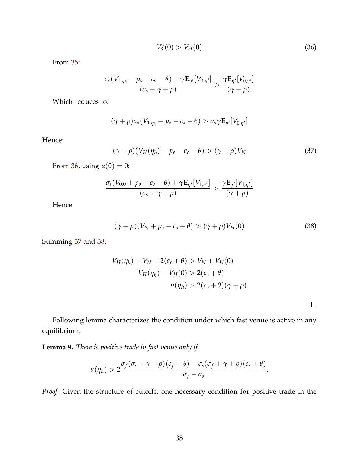<span id="page-38-1"></span>
$$
V_S^s(0) > V_H(0) \tag{36}
$$

From [35:](#page-37-3)

$$
\frac{\sigma_s(V_{1,\eta_h} - p_s - c_s - \theta) + \gamma \mathbf{E}_{\eta'}[V_{0,\eta'}]}{(\sigma_s + \gamma + \rho)} > \frac{\gamma \mathbf{E}_{\eta'}[V_{0,\eta'}]}{(\gamma + \rho)}
$$

Which reduces to:

$$
(\gamma + \rho)\sigma_s(V_{1,\eta_h} - p_s - c_s - \theta) > \sigma_s \gamma \mathbf{E}_{\eta'}[V_{0,\eta'}]
$$

Hence:

<span id="page-38-2"></span>
$$
(\gamma + \rho)(V_H(\eta_h) - p_s - c_s - \theta) > (\gamma + \rho)V_N \tag{37}
$$

From [36,](#page-38-1) using  $u(0) = 0$ :

$$
\frac{\sigma_s(V_{0,0} + p_s - c_s - \theta) + \gamma \mathbf{E}_{\eta'}[V_{1,\eta'}]}{(\sigma_s + \gamma + \rho)} > \frac{\gamma \mathbf{E}_{\eta'}[V_{1,\eta'}]}{(\gamma + \rho)}
$$

Hence

<span id="page-38-3"></span>
$$
(\gamma + \rho)(V_N + p_s - c_s - \theta) > (\gamma + \rho)V_H(0)
$$
\n(38)

Summing [37](#page-38-2) and [38:](#page-38-3)

$$
V_H(\eta_h) + V_N - 2(c_s + \theta) > V_N + V_H(0)
$$
  

$$
V_H(\eta_h) - V_H(0) > 2(c_s + \theta)
$$
  

$$
u(\eta_h) > 2(c_s + \theta)(\gamma + \rho)
$$

 $\Box$ 

Following lemma characterizes the condition under which fast venue is active in any equilibrium:

<span id="page-38-0"></span>**Lemma 9.** *There is positive trade in fast venue only if*

$$
u(\eta_h) > 2 \frac{\sigma_f(\sigma_s + \gamma + \rho)(c_f + \theta) - \sigma_s(\sigma_f + \gamma + \rho)(c_s + \theta)}{\sigma_f - \sigma_s}.
$$

*Proof.* Given the structure of cutoffs, one necessary condition for positive trade in the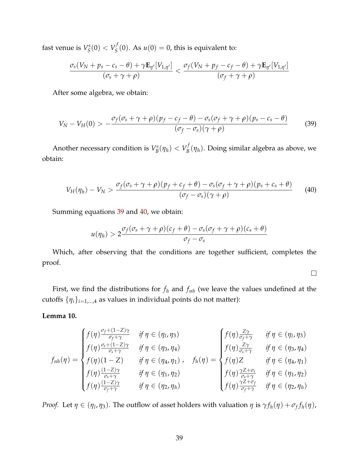fast venue is *V s*  $V^s_S(0) < V^f_S$  $S<sub>S</sub><sup>1</sup>(0)$ . As  $u(0) = 0$ , this is equivalent to:

$$
\frac{\sigma_s(V_N+p_s-c_s-\theta)+\gamma\mathbf{E}_{\eta'}[V_{1,\eta'}]}{(\sigma_s+\gamma+\rho)}<\frac{\sigma_f(V_N+p_f-c_f-\theta)+\gamma\mathbf{E}_{\eta'}[V_{1,\eta'}]}{(\sigma_f+\gamma+\rho)}
$$

After some algebra, we obtain:

<span id="page-39-1"></span>
$$
V_N - V_H(0) > -\frac{\sigma_f(\sigma_s + \gamma + \rho)(p_f - c_f - \theta) - \sigma_s(\sigma_f + \gamma + \rho)(p_s - c_s - \theta)}{(\sigma_f - \sigma_s)(\gamma + \rho)}
$$
(39)

Another necessary condition is *V s*  $V_B^s(\eta_h) < V_B^f$  $\mathcal{B}_{B}^{(1)}(\eta_{h})$ . Doing similar algebra as above, we obtain:

<span id="page-39-2"></span>
$$
V_H(\eta_h) - V_N > \frac{\sigma_f(\sigma_s + \gamma + \rho)(p_f + c_f + \theta) - \sigma_s(\sigma_f + \gamma + \rho)(p_s + c_s + \theta)}{(\sigma_f - \sigma_s)(\gamma + \rho)}
$$
(40)

Summing equations [39](#page-39-1) and [40,](#page-39-2) we obtain:

$$
u(\eta_h) > 2 \frac{\sigma_f(\sigma_s + \gamma + \rho)(c_f + \theta) - \sigma_s(\sigma_f + \gamma + \rho)(c_s + \theta)}{\sigma_f - \sigma_s}
$$

Which, after observing that the conditions are together sufficient, completes the proof.

 $\Box$ 

First, we find the distributions for *f<sup>h</sup>* and *fnh* (we leave the values undefined at the cutoffs  $\{\eta_i\}_{i=1,\dots,4}$  as values in individual points do not matter):

### <span id="page-39-0"></span>**Lemma 10.**

$$
f_{nh}(\eta) = \begin{cases} f(\eta) \frac{\sigma_f + (1-Z)\gamma}{\sigma_f + \gamma} & \text{if } \eta \in (\eta_l, \eta_3) \\ f(\eta) \frac{\sigma_s + (1-Z)\gamma}{\sigma_s + \gamma} & \text{if } \eta \in (\eta_3, \eta_4) \\ f(\eta)(1-Z) & \text{if } \eta \in (\eta_4, \eta_1) \end{cases}, \quad f_h(\eta) = \begin{cases} f(\eta) \frac{Z\gamma}{\sigma_f + \gamma} & \text{if } \eta \in (\eta_l, \eta_3) \\ f(\eta) \frac{Z\gamma}{\sigma_s + \gamma} & \text{if } \eta \in (\eta_3, \eta_4) \\ f(\eta) \frac{Z\gamma}{\sigma_s + \gamma} & \text{if } \eta \in (\eta_4, \eta_1) \\ f(\eta) \frac{(1-Z)\gamma}{\sigma_f + \gamma} & \text{if } \eta \in (\eta_2, \eta_h) \end{cases}
$$

*Proof.* Let  $\eta \in (\eta_1, \eta_3)$ . The outflow of asset holders with valuation  $\eta$  is  $\gamma f_h(\eta) + \sigma_f f_h(\eta)$ ,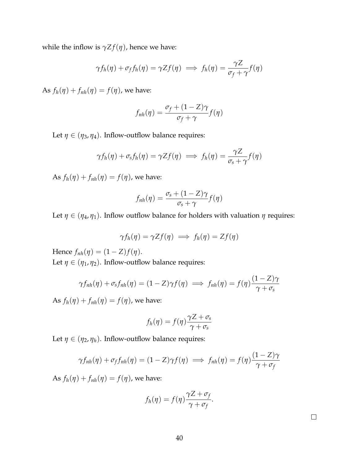while the inflow is  $\gamma Z f(\eta)$ , hence we have:

$$
\gamma f_h(\eta) + \sigma_f f_h(\eta) = \gamma Z f(\eta) \implies f_h(\eta) = \frac{\gamma Z}{\sigma_f + \gamma} f(\eta)
$$

As  $f_h(\eta) + f_{nh}(\eta) = f(\eta)$ , we have:

$$
f_{nh}(\eta) = \frac{\sigma_f + (1 - Z)\gamma}{\sigma_f + \gamma} f(\eta)
$$

Let  $\eta \in (\eta_3, \eta_4)$ . Inflow-outflow balance requires:

$$
\gamma f_h(\eta) + \sigma_s f_h(\eta) = \gamma Z f(\eta) \implies f_h(\eta) = \frac{\gamma Z}{\sigma_s + \gamma} f(\eta)
$$

As  $f_h(\eta) + f_{nh}(\eta) = f(\eta)$ , we have:

$$
f_{nh}(\eta) = \frac{\sigma_s + (1 - Z)\gamma}{\sigma_s + \gamma} f(\eta)
$$

Let  $\eta \in (\eta_4, \eta_1)$ . Inflow outflow balance for holders with valuation  $\eta$  requires:

$$
\gamma f_h(\eta) = \gamma Z f(\eta) \implies f_h(\eta) = Z f(\eta)
$$

Hence *f*<sub>*nh*</sub>(*η*) = (1 − *Z*)*f*(*η*).

Let  $\eta \in (\eta_1, \eta_2)$ . Inflow-outflow balance requires:

$$
\gamma f_{nh}(\eta) + \sigma_s f_{nh}(\eta) = (1 - Z)\gamma f(\eta) \implies f_{nh}(\eta) = f(\eta) \frac{(1 - Z)\gamma}{\gamma + \sigma_s}
$$

As  $f_h(\eta) + f_{nh}(\eta) = f(\eta)$ , we have:

$$
f_h(\eta) = f(\eta) \frac{\gamma Z + \sigma_s}{\gamma + \sigma_s}
$$

Let  $\eta \in (\eta_2, \eta_h)$ . Inflow-outflow balance requires:

$$
\gamma f_{nh}(\eta) + \sigma_f f_{nh}(\eta) = (1 - Z)\gamma f(\eta) \implies f_{nh}(\eta) = f(\eta) \frac{(1 - Z)\gamma}{\gamma + \sigma_f}
$$

As  $f_h(\eta) + f_{nh}(\eta) = f(\eta)$ , we have:

$$
f_h(\eta) = f(\eta) \frac{\gamma Z + \sigma_f}{\gamma + \sigma_f}.
$$

 $\Box$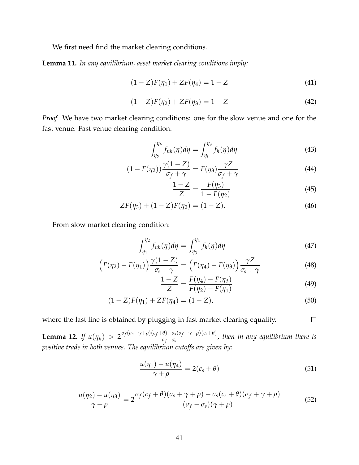We first need find the market clearing conditions.

<span id="page-41-0"></span>**Lemma 11.** *In any equilibrium, asset market clearing conditions imply:*

<span id="page-41-2"></span>
$$
(1 - Z)F(\eta_1) + ZF(\eta_4) = 1 - Z \tag{41}
$$

<span id="page-41-3"></span>
$$
(1 - Z)F(\eta_2) + ZF(\eta_3) = 1 - Z \tag{42}
$$

*Proof.* We have two market clearing conditions: one for the slow venue and one for the fast venue. Fast venue clearing condition:

$$
\int_{\eta_2}^{\eta_h} f_{nh}(\eta) d\eta = \int_{\eta_l}^{\eta_3} f_h(\eta) d\eta \tag{43}
$$

$$
(1 - F(\eta_2))\frac{\gamma(1 - Z)}{\sigma_f + \gamma} = F(\eta_3)\frac{\gamma Z}{\sigma_f + \gamma}
$$
\n(44)

$$
\frac{1-Z}{Z} = \frac{F(\eta_3)}{1 - F(\eta_2)}
$$
(45)

$$
ZF(\eta_3) + (1 - Z)F(\eta_2) = (1 - Z). \tag{46}
$$

From slow market clearing condition:

$$
\int_{\eta_1}^{\eta_2} f_{nh}(\eta) d\eta = \int_{\eta_3}^{\eta_4} f_h(\eta) d\eta \tag{47}
$$

$$
\left(F(\eta_2) - F(\eta_1)\right) \frac{\gamma(1-Z)}{\sigma_s + \gamma} = \left(F(\eta_4) - F(\eta_3)\right) \frac{\gamma Z}{\sigma_s + \gamma}
$$
\n(48)

$$
\frac{1-Z}{Z} = \frac{F(\eta_4) - F(\eta_3)}{F(\eta_2) - F(\eta_1)}
$$
(49)

 $\Box$ 

$$
(1 - Z)F(\eta_1) + ZF(\eta_4) = (1 - Z),
$$
\n(50)

where the last line is obtained by plugging in fast market clearing equality.

<span id="page-41-1"></span>**Lemma 12.** *If*  $u(\eta_h) > 2 \frac{\sigma_f(\sigma_s + \gamma + \rho)(c_f + \theta) - \sigma_s(\sigma_f + \gamma + \rho)(c_s + \theta)}{\sigma_f - \sigma_s}$ *σ<sup>f</sup>* −*σ<sup>s</sup> , then in any equilibrium there is positive trade in both venues. The equilibrium cutoffs are given by:*

<span id="page-41-4"></span>
$$
\frac{u(\eta_1) - u(\eta_4)}{\gamma + \rho} = 2(c_s + \theta) \tag{51}
$$

<span id="page-41-5"></span>
$$
\frac{u(\eta_2) - u(\eta_3)}{\gamma + \rho} = 2 \frac{\sigma_f (c_f + \theta)(\sigma_s + \gamma + \rho) - \sigma_s (c_s + \theta)(\sigma_f + \gamma + \rho)}{(\sigma_f - \sigma_s)(\gamma + \rho)}
$$
(52)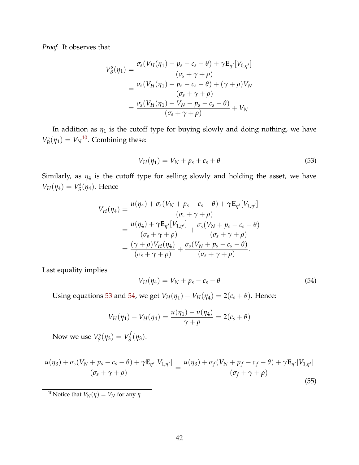*Proof.* It observes that

$$
V_B^s(\eta_1) = \frac{\sigma_s(V_H(\eta_1) - p_s - c_s - \theta) + \gamma \mathbf{E}_{\eta'}[V_{0,\eta'}]}{(\sigma_s + \gamma + \rho)}
$$
  
= 
$$
\frac{\sigma_s(V_H(\eta_1) - p_s - c_s - \theta) + (\gamma + \rho)V_N}{(\sigma_s + \gamma + \rho)}
$$
  
= 
$$
\frac{\sigma_s(V_H(\eta_1) - V_N - p_s - c_s - \theta)}{(\sigma_s + \gamma + \rho)} + V_N
$$

In addition as  $\eta_1$  is the cutoff type for buying slowly and doing nothing, we have *V s*  $B_B^s(\eta_1) = V_N^{10}$  $B_B^s(\eta_1) = V_N^{10}$  $B_B^s(\eta_1) = V_N^{10}$ . Combining these:

<span id="page-42-1"></span>
$$
V_H(\eta_1) = V_N + p_s + c_s + \theta \tag{53}
$$

Similarly, as  $\eta_4$  is the cutoff type for selling slowly and holding the asset, we have  $V_H(\eta_4) = V_S^s$ *S* (*η*4). Hence

$$
V_H(\eta_4) = \frac{u(\eta_4) + \sigma_s(V_N + p_s - c_s - \theta) + \gamma \mathbf{E}_{\eta'}[V_{1,\eta'}]}{(\sigma_s + \gamma + \rho)}
$$
  
= 
$$
\frac{u(\eta_4) + \gamma \mathbf{E}_{\eta'}[V_{1,\eta'}]}{(\sigma_s + \gamma + \rho)} + \frac{\sigma_s(V_N + p_s - c_s - \theta)}{(\sigma_s + \gamma + \rho)}
$$
  
= 
$$
\frac{(\gamma + \rho)V_H(\eta_4)}{(\sigma_s + \gamma + \rho)} + \frac{\sigma_s(V_N + p_s - c_s - \theta)}{(\sigma_s + \gamma + \rho)}.
$$

Last equality implies

<span id="page-42-2"></span>
$$
V_H(\eta_4) = V_N + p_s - c_s - \theta \tag{54}
$$

Using equations [53](#page-42-1) and [54,](#page-42-2) we get  $V_H(\eta_1) - V_H(\eta_4) = 2(c_s + \theta)$ . Hence:

$$
V_H(\eta_1) - V_H(\eta_4) = \frac{u(\eta_1) - u(\eta_4)}{\gamma + \rho} = 2(c_s + \theta)
$$

Now we use *V s*  $V_S^s(\eta_3) = V_S^f$ *S* (*η*3).

$$
\frac{u(\eta_3) + \sigma_s(V_N + p_s - c_s - \theta) + \gamma \mathbf{E}_{\eta'}[V_{1,\eta'}]}{(\sigma_s + \gamma + \rho)} = \frac{u(\eta_3) + \sigma_f(V_N + p_f - c_f - \theta) + \gamma \mathbf{E}_{\eta'}[V_{1,\eta'}]}{(\sigma_f + \gamma + \rho)}
$$
(55)

<span id="page-42-0"></span><sup>10</sup>Notice that  $V_N(\eta) = V_N$  for any  $\eta$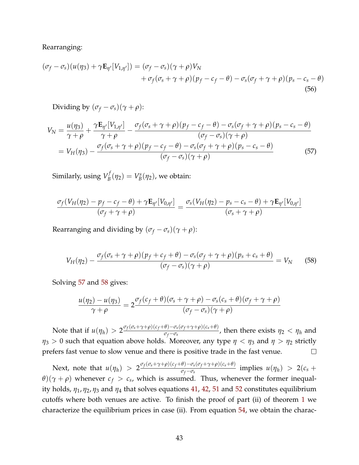Rearranging:

$$
(\sigma_f - \sigma_s)(u(\eta_3) + \gamma \mathbf{E}_{\eta'}[V_{1,\eta'}]) = (\sigma_f - \sigma_s)(\gamma + \rho)V_N + \sigma_f(\sigma_s + \gamma + \rho)(p_f - c_f - \theta) - \sigma_s(\sigma_f + \gamma + \rho)(p_s - c_s - \theta)
$$
(56)

Dividing by  $(\sigma_f - \sigma_s)(\gamma + \rho)$ :

$$
V_N = \frac{u(\eta_3)}{\gamma + \rho} + \frac{\gamma \mathbf{E}_{\eta'}[V_{1,\eta'}]}{\gamma + \rho} - \frac{\sigma_f(\sigma_s + \gamma + \rho)(p_f - c_f - \theta) - \sigma_s(\sigma_f + \gamma + \rho)(p_s - c_s - \theta)}{(\sigma_f - \sigma_s)(\gamma + \rho)}
$$
  
=  $V_H(\eta_3) - \frac{\sigma_f(\sigma_s + \gamma + \rho)(p_f - c_f - \theta) - \sigma_s(\sigma_f + \gamma + \rho)(p_s - c_s - \theta)}{(\sigma_f - \sigma_s)(\gamma + \rho)}$  (57)

<span id="page-43-0"></span>Similarly, using *V f*  $V_B^f(\eta_2) = V_B^s$  $B_B^{\rm s}(\eta_2)$ , we obtain:

$$
\frac{\sigma_f(V_H(\eta_2)-p_f-c_f-\theta)+\gamma \mathbf{E}_{\eta'}[V_{0,\eta'}]}{(\sigma_f+\gamma+\rho)}=\frac{\sigma_s(V_H(\eta_2)-p_s-c_s-\theta)+\gamma \mathbf{E}_{\eta'}[V_{0,\eta'}]}{(\sigma_s+\gamma+\rho)}
$$

Rearranging and dividing by  $(\sigma_f - \sigma_s)(\gamma + \rho)$ :

<span id="page-43-1"></span>
$$
V_H(\eta_2) - \frac{\sigma_f(\sigma_s + \gamma + \rho)(p_f + c_f + \theta) - \sigma_s(\sigma_f + \gamma + \rho)(p_s + c_s + \theta)}{(\sigma_f - \sigma_s)(\gamma + \rho)} = V_N \tag{58}
$$

Solving [57](#page-43-0) and [58](#page-43-1) gives:

$$
\frac{u(\eta_2)-u(\eta_3)}{\gamma+\rho}=2\frac{\sigma_f(c_f+\theta)(\sigma_s+\gamma+\rho)-\sigma_s(c_s+\theta)(\sigma_f+\gamma+\rho)}{(\sigma_f-\sigma_s)(\gamma+\rho)}
$$

Note that if  $u(\eta_h) > 2^{\frac{\sigma_f(\sigma_s + \gamma + \rho)(c_f + \theta) - \sigma_s(\sigma_f + \gamma + \rho)(c_s + \theta)}{\sigma_f - \sigma_s}}$  $\frac{\sigma_f - \sigma_s(\nu_f + \gamma + \rho)(c_s + \nu)}{\sigma_f - \sigma_s}$ , then there exists  $\eta_2 < \eta_h$  and *η*<sub>3</sub> > 0 such that equation above holds. Moreover, any type  $\eta < \eta_3$  and  $\eta > \eta_2$  strictly prefers fast venue to slow venue and there is positive trade in the fast venue.  $\Box$ 

Next, note that  $u(\eta_h) > 2 \frac{\sigma_f(\sigma_s + \gamma + \rho)(c_f + \theta) - \sigma_s(\sigma_f + \gamma + \rho)(c_s + \theta)}{\sigma_f - \sigma_s}$  $\frac{\sigma_f - \sigma_s(v_f + \gamma + \rho)(c_s + v)}{\sigma_f - \sigma_s}$  implies  $u(\eta_h) > 2(c_s + v)$  $\theta$ )( $\gamma + \rho$ ) whenever  $c_f > c_s$ , which is assumed. Thus, whenever the former inequality holds, *η*1, *η*2, *η*<sup>3</sup> and *η*<sup>4</sup> that solves equations [41,](#page-41-2) [42,](#page-41-3) [51](#page-41-4) and [52](#page-41-5) constitutes equilibrium cutoffs where both venues are active. To finish the proof of part (ii) of theorem [1](#page-8-0) we characterize the equilibrium prices in case (ii). From equation [54,](#page-42-2) we obtain the charac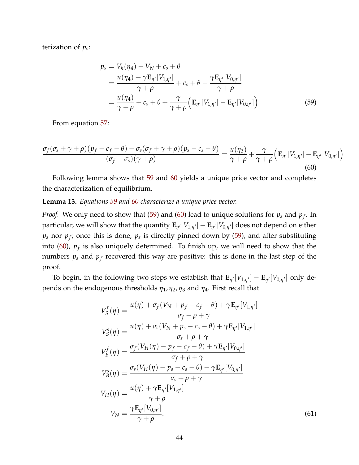terization of *p<sup>s</sup>* :

<span id="page-44-1"></span>
$$
p_s = V_h(\eta_4) - V_N + c_s + \theta
$$
  
= 
$$
\frac{u(\eta_4) + \gamma \mathbf{E}_{\eta'}[V_{1,\eta'}]}{\gamma + \rho} + c_s + \theta - \frac{\gamma \mathbf{E}_{\eta'}[V_{0,\eta'}]}{\gamma + \rho}
$$
  
= 
$$
\frac{u(\eta_4)}{\gamma + \rho} + c_s + \theta + \frac{\gamma}{\gamma + \rho} (\mathbf{E}_{\eta'}[V_{1,\eta'}] - \mathbf{E}_{\eta'}[V_{0,\eta'}])
$$
(59)

From equation [57:](#page-43-0)

<span id="page-44-2"></span>
$$
\frac{\sigma_f(\sigma_s + \gamma + \rho)(p_f - c_f - \theta) - \sigma_s(\sigma_f + \gamma + \rho)(p_s - c_s - \theta)}{(\sigma_f - \sigma_s)(\gamma + \rho)} = \frac{u(\eta_3)}{\gamma + \rho} + \frac{\gamma}{\gamma + \rho} \left(\mathbf{E}_{\eta'}[V_{1,\eta'}] - \mathbf{E}_{\eta'}[V_{0,\eta'}]\right)
$$
\n(60)

Following lemma shows that [59](#page-44-1) and [60](#page-44-2) yields a unique price vector and completes the characterization of equilibrium.

#### <span id="page-44-0"></span>**Lemma 13.** *Equations [59](#page-44-1) and [60](#page-44-2) characterize a unique price vector.*

*Proof.* We only need to show that [\(59\)](#page-44-1) and [\(60\)](#page-44-2) lead to unique solutions for *p<sup>s</sup>* and *p<sup>f</sup>* . In  $p$ articular, we will show that the quantity  ${\bf E}_{\eta'}[V_{1,\eta'}]-{\bf E}_{\eta'}[V_{0,\eta'}]$  does not depend on either  $p_s$  nor  $p_f$ ; once this is done,  $p_s$  is directly pinned down by [\(59\)](#page-44-1), and after substituting into [\(60\)](#page-44-2),  $p_f$  is also uniquely determined. To finish up, we will need to show that the numbers *p<sup>s</sup>* and *p<sup>f</sup>* recovered this way are positive: this is done in the last step of the proof.

To begin, in the following two steps we establish that  $\mathbf{E}_{\eta'}[V_{1,\eta'}] - \mathbf{E}_{\eta'}[V_{0,\eta'}]$  only depends on the endogenous thresholds *η*1, *η*2, *η*<sup>3</sup> and *η*4. First recall that

<span id="page-44-3"></span>
$$
V_S^f(\eta) = \frac{u(\eta) + \sigma_f(V_N + p_f - c_f - \theta) + \gamma \mathbf{E}_{\eta'}[V_{1,\eta'}]}{\sigma_f + \rho + \gamma}
$$
  
\n
$$
V_S^s(\eta) = \frac{u(\eta) + \sigma_s(V_N + p_s - c_s - \theta) + \gamma \mathbf{E}_{\eta'}[V_{1,\eta'}]}{\sigma_s + \rho + \gamma}
$$
  
\n
$$
V_B^f(\eta) = \frac{\sigma_f(V_H(\eta) - p_f - c_f - \theta) + \gamma \mathbf{E}_{\eta'}[V_{0,\eta'}]}{\sigma_f + \rho + \gamma}
$$
  
\n
$$
V_B^s(\eta) = \frac{\sigma_s(V_H(\eta) - p_s - c_s - \theta) + \gamma \mathbf{E}_{\eta'}[V_{0,\eta'}]}{\sigma_s + \rho + \gamma}
$$
  
\n
$$
V_H(\eta) = \frac{u(\eta) + \gamma \mathbf{E}_{\eta'}[V_{1,\eta'}]}{\gamma + \rho}
$$
  
\n
$$
V_N = \frac{\gamma \mathbf{E}_{\eta'}[V_{0,\eta'}]}{\gamma + \rho}.
$$
  
\n(61)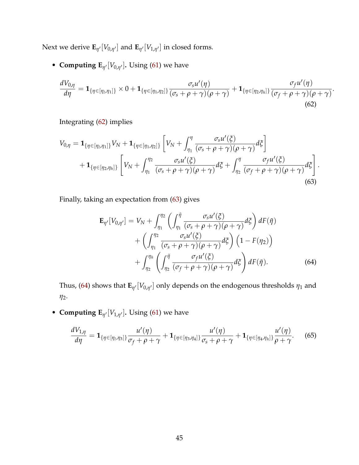Next we derive  $\mathbf{E}_{\eta'}[V_{0,\eta'}]$  and  $\mathbf{E}_{\eta'}[V_{1,\eta'}]$  in closed forms.

• **Computing**  $\mathbf{E}_{\eta'}[V_{0,\eta'}]$ **. Using [\(61\)](#page-44-3) we have** 

$$
\frac{dV_{0,\eta}}{d\eta} = \mathbf{1}_{\{\eta \in [\eta_1, \eta_1]\}} \times 0 + \mathbf{1}_{\{\eta \in [\eta_1, \eta_2]\}} \frac{\sigma_s u'(\eta)}{(\sigma_s + \rho + \gamma)(\rho + \gamma)} + \mathbf{1}_{\{\eta \in [\eta_2, \eta_h]\}} \frac{\sigma_f u'(\eta)}{(\sigma_f + \rho + \gamma)(\rho + \gamma)}
$$
(62)

<span id="page-45-2"></span><span id="page-45-1"></span><span id="page-45-0"></span>.

Integrating [\(62\)](#page-45-0) implies

$$
V_{0,\eta} = \mathbf{1}_{\{\eta \in [\eta_1, \eta_1]\}} V_N + \mathbf{1}_{\{\eta \in [\eta_1, \eta_2]\}} \left[ V_N + \int_{\eta_1}^{\eta} \frac{\sigma_s u'(\xi)}{(\sigma_s + \rho + \gamma)(\rho + \gamma)} d\xi \right] + \mathbf{1}_{\{\eta \in [\eta_2, \eta_h]\}} \left[ V_N + \int_{\eta_1}^{\eta_2} \frac{\sigma_s u'(\xi)}{(\sigma_s + \rho + \gamma)(\rho + \gamma)} d\xi + \int_{\eta_2}^{\eta} \frac{\sigma_f u'(\xi)}{(\sigma_f + \rho + \gamma)(\rho + \gamma)} d\xi \right].
$$
\n(63)

Finally, taking an expectation from [\(63\)](#page-45-1) gives

$$
\mathbf{E}_{\eta'}[V_{0,\eta'}] = V_N + \int_{\eta_1}^{\eta_2} \left( \int_{\eta_1}^{\tilde{\eta}} \frac{\sigma_s u'(\xi)}{(\sigma_s + \rho + \gamma)(\rho + \gamma)} d\xi \right) dF(\tilde{\eta}) + \left( \int_{\eta_1}^{\eta_2} \frac{\sigma_s u'(\xi)}{(\sigma_s + \rho + \gamma)(\rho + \gamma)} d\xi \right) \left( 1 - F(\eta_2) \right) + \int_{\eta_2}^{\eta_h} \left( \int_{\eta_2}^{\tilde{\eta}} \frac{\sigma_f u'(\xi)}{(\sigma_f + \rho + \gamma)(\rho + \gamma)} d\xi \right) dF(\tilde{\eta}).
$$
 (64)

Thus, [\(64\)](#page-45-2) shows that  $\mathbf{E}_{\eta'}[V_{0,\eta'}]$  only depends on the endogenous thresholds  $\eta_1$  and *η*2.

• **Computing**  $\mathbf{E}_{\eta'}[V_{1,\eta'}]$ **. Using [\(61\)](#page-44-3) we have** 

$$
\frac{dV_{1,\eta}}{d\eta} = \mathbf{1}_{\{\eta \in [\eta_1, \eta_3]\}} \frac{u'(\eta)}{\sigma_f + \rho + \gamma} + \mathbf{1}_{\{\eta \in [\eta_3, \eta_4]\}} \frac{u'(\eta)}{\sigma_s + \rho + \gamma} + \mathbf{1}_{\{\eta \in [\eta_4, \eta_h]\}} \frac{u'(\eta)}{\rho + \gamma}.
$$
 (65)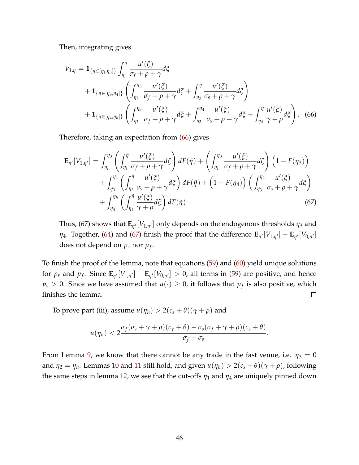Then, integrating gives

<span id="page-46-0"></span>
$$
V_{1,\eta} = \mathbf{1}_{\{\eta \in [\eta_1, \eta_3]\}} \int_{\eta_1}^{\eta} \frac{u'(\xi)}{\sigma_f + \rho + \gamma} d\xi
$$
  
+  $\mathbf{1}_{\{\eta \in [\eta_3, \eta_4]\}} \left( \int_{\eta_1}^{\eta_3} \frac{u'(\xi)}{\sigma_f + \rho + \gamma} d\xi + \int_{\eta_3}^{\eta} \frac{u'(\xi)}{\sigma_s + \rho + \gamma} d\xi \right)$   
+  $\mathbf{1}_{\{\eta \in [\eta_4, \eta_h]\}} \left( \int_{\eta_1}^{\eta_3} \frac{u'(\xi)}{\sigma_f + \rho + \gamma} d\xi + \int_{\eta_3}^{\eta_4} \frac{u'(\xi)}{\sigma_s + \rho + \gamma} d\xi + \int_{\eta_4}^{\eta} \frac{u'(\xi)}{\gamma + \rho} d\xi \right).$  (66)

Therefore, taking an expectation from [\(66\)](#page-46-0) gives

<span id="page-46-1"></span>
$$
\mathbf{E}_{\eta'}[V_{1,\eta'}] = \int_{\eta_l}^{\eta_3} \left( \int_{\eta_l}^{\tilde{\eta}} \frac{u'(\xi)}{\sigma_f + \rho + \gamma} d\xi \right) dF(\tilde{\eta}) + \left( \int_{\eta_l}^{\eta_3} \frac{u'(\xi)}{\sigma_f + \rho + \gamma} d\xi \right) \left( 1 - F(\eta_3) \right) + \int_{\eta_3}^{\eta_4} \left( \int_{\eta_3}^{\tilde{\eta}} \frac{u'(\xi)}{\sigma_s + \rho + \gamma} d\xi \right) dF(\tilde{\eta}) + \left( 1 - F(\eta_4) \right) \left( \int_{\eta_3}^{\eta_4} \frac{u'(\xi)}{\sigma_s + \rho + \gamma} d\xi \right) + \int_{\eta_4}^{\eta_h} \left( \int_{\eta_4}^{\tilde{\eta}} \frac{u'(\xi)}{\gamma + \rho} d\xi \right) dF(\tilde{\eta}) \tag{67}
$$

Thus, [\(67\)](#page-46-1) shows that  $\mathbf{E}_{\eta'}[V_{1,\eta'}]$  only depends on the endogenous thresholds  $\eta_3$  and *n*<sub>4</sub>. Together, [\(64\)](#page-45-2) and [\(67\)](#page-46-1) finish the proof that the difference  $\mathbf{E}_{\eta'}[V_{1,\eta'}] - \mathbf{E}_{\eta'}[V_{0,\eta'}]$ does not depend on *p<sup>s</sup>* nor *p<sup>f</sup>* .

To finish the proof of the lemma, note that equations [\(59\)](#page-44-1) and [\(60\)](#page-44-2) yield unique solutions for  $p_s$  and  $p_f$ . Since  $\mathbf{E}_{\eta'}[V_{1,\eta'}]-\mathbf{E}_{\eta'}[V_{0,\eta'}]>0$ , all terms in [\(59\)](#page-44-1) are positive, and hence  $p_s > 0$ . Since we have assumed that  $u(\cdot) \geq 0$ , it follows that  $p_f$  is also positive, which finishes the lemma.  $\Box$ 

To prove part (iii), assume  $u(\eta_h) > 2(c_s + \theta)(\gamma + \rho)$  and

$$
u(\eta_h) < 2\frac{\sigma_f(\sigma_s + \gamma + \rho)(c_f + \theta) - \sigma_s(\sigma_f + \gamma + \rho)(c_s + \theta)}{\sigma_f - \sigma_s}.
$$

From Lemma [9,](#page-38-0) we know that there cannot be any trade in the fast venue, i.e.  $\eta_3 = 0$ and  $\eta_2 = \eta_h$ . Lemmas [10](#page-39-0) and [11](#page-41-0) still hold, and given  $u(\eta_h) > 2(c_s + \theta)(\gamma + \rho)$ , following the same steps in lemma [12,](#page-41-1) we see that the cut-offs  $\eta_1$  and  $\eta_4$  are uniquely pinned down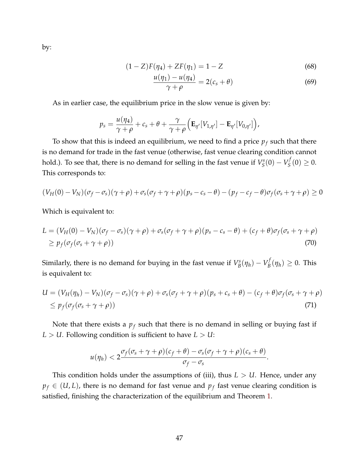by:

$$
(1 - Z)F(\eta_4) + ZF(\eta_1) = 1 - Z \tag{68}
$$

$$
\frac{u(\eta_1) - u(\eta_4)}{\gamma + \rho} = 2(c_s + \theta) \tag{69}
$$

As in earlier case, the equilibrium price in the slow venue is given by:

$$
p_s = \frac{u(\eta_4)}{\gamma + \rho} + c_s + \theta + \frac{\gamma}{\gamma + \rho} \Big( \mathbf{E}_{\eta'}[V_{1,\eta'}] - \mathbf{E}_{\eta'}[V_{0,\eta'}] \Big),
$$

To show that this is indeed an equilibrium, we need to find a price *p<sup>f</sup>* such that there is no demand for trade in the fast venue (otherwise, fast venue clearing condition cannot hold.). To see that, there is no demand for selling in the fast venue if *V s*  $V_S^s(0) - V_S^f$  $S_S^{(j)}(0) \geq 0.$ This corresponds to:

$$
(V_H(0)-V_N)(\sigma_f-\sigma_s)(\gamma+\rho)+\sigma_s(\sigma_f+\gamma+\rho)(p_s-c_s-\theta)-(p_f-c_f-\theta)\sigma_f(\sigma_s+\gamma+\rho)\geq 0
$$

Which is equivalent to:

$$
L = (V_H(0) - V_N)(\sigma_f - \sigma_s)(\gamma + \rho) + \sigma_s(\sigma_f + \gamma + \rho)(p_s - c_s - \theta) + (c_f + \theta)\sigma_f(\sigma_s + \gamma + \rho)
$$
  
\n
$$
\geq p_f(\sigma_f(\sigma_s + \gamma + \rho))
$$
\n(70)

Similarly, there is no demand for buying in the fast venue if *V s*  $V_B^s(\eta_h) - V_B^f$  $B_B^{\prime}(\eta_h) \geq 0$ . This is equivalent to:

$$
U = (V_H(\eta_h) - V_N)(\sigma_f - \sigma_s)(\gamma + \rho) + \sigma_s(\sigma_f + \gamma + \rho)(p_s + c_s + \theta) - (c_f + \theta)\sigma_f(\sigma_s + \gamma + \rho)
$$
  
\$\leq p\_f(\sigma\_f(\sigma\_s + \gamma + \rho))\$ (71)

Note that there exists a *p<sup>f</sup>* such that there is no demand in selling or buying fast if *L* > *U*. Following condition is sufficient to have *L* > *U*:

$$
u(\eta_h) < 2\frac{\sigma_f(\sigma_s + \gamma + \rho)(c_f + \theta) - \sigma_s(\sigma_f + \gamma + \rho)(c_s + \theta)}{\sigma_f - \sigma_s}.
$$

This condition holds under the assumptions of (iii), thus *L* > *U*. Hence, under any  $p_f \in (U, L)$ , there is no demand for fast venue and  $p_f$  fast venue clearing condition is satisfied, finishing the characterization of the equilibrium and Theorem [1.](#page-8-0)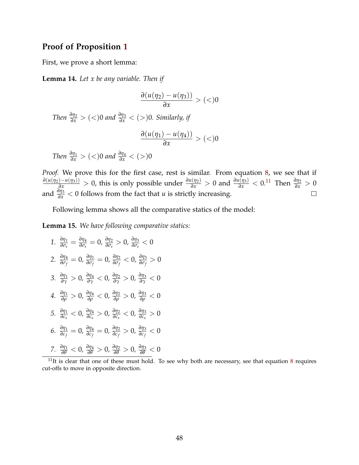## **Proof of Proposition [1](#page-15-0)**

First, we prove a short lemma:

<span id="page-48-1"></span>**Lemma 14.** *Let x be any variable. Then if*

$$
\frac{\partial (u(\eta_2) - u(\eta_3))}{\partial x} > (<)0
$$

*Then*  $\frac{\partial \eta_2}{\partial x}$  > (<)0 *and*  $\frac{\partial \eta_3}{\partial x}$  < (>)0*. Similarly, if* 

$$
\frac{\partial (u(\eta_1) - u(\eta_4))}{\partial x} > (<)0
$$

*Then*  $\frac{\partial \eta_1}{\partial x}$  > (<)0 *and*  $\frac{\partial \eta_4}{\partial x}$  < (>)0

*Proof.* We prove this for the first case, rest is similar. From equation [8,](#page-9-1) we see that if  $\frac{\partial(u(\eta_2)-u(\eta_3))}{\partial x} > 0$ , this is only possible under  $\frac{\partial u(\eta_2)}{\partial x} > 0$  and  $\frac{\partial u(\eta_3)}{\partial x} < 0.11$  $\frac{\partial u(\eta_3)}{\partial x} < 0.11$  Then  $\frac{\partial \eta_2}{\partial x} > 0$ and  $\frac{\partial \eta_3}{\partial x}$  < 0 follows from the fact that *u* is strictly increasing.  $\Box$ 

Following lemma shows all the comparative statics of the model:

**Lemma 15.** *We have following comparative statics:*

1. 
$$
\frac{\partial \eta_1}{\partial \sigma_s} = \frac{\partial \eta_4}{\partial \sigma_s} = 0, \frac{\partial \eta_2}{\partial \sigma_s} > 0, \frac{\partial \eta_3}{\partial \sigma_s} < 0
$$
  
\n2. 
$$
\frac{\partial \eta_4}{\partial \sigma_f} = 0, \frac{\partial \eta_1}{\partial \sigma_f} = 0, \frac{\partial \eta_2}{\partial \sigma_f} < 0, \frac{\partial \eta_3}{\partial \sigma_f} > 0
$$
  
\n3. 
$$
\frac{\partial \eta_1}{\partial \gamma} > 0, \frac{\partial \eta_4}{\partial \gamma} < 0, \frac{\partial \eta_2}{\partial \gamma} > 0, \frac{\partial \eta_3}{\partial \gamma} < 0
$$
  
\n4. 
$$
\frac{\partial \eta_1}{\partial \rho} > 0, \frac{\partial \eta_4}{\partial \rho} < 0, \frac{\partial \eta_2}{\partial \rho} > 0, \frac{\partial \eta_3}{\partial \rho} < 0
$$
  
\n5. 
$$
\frac{\partial \eta_1}{\partial c_s} < 0, \frac{\partial \eta_4}{\partial c_s} > 0, \frac{\partial \eta_2}{\partial c_s} < 0, \frac{\partial \eta_3}{\partial c_s} > 0
$$
  
\n6. 
$$
\frac{\partial \eta_1}{\partial c_f} = 0, \frac{\partial \eta_4}{\partial c_f} = 0, \frac{\partial \eta_2}{\partial c_f} > 0, \frac{\partial \eta_3}{\partial c_f} < 0
$$
  
\n7. 
$$
\frac{\partial \eta_1}{\partial \theta} < 0, \frac{\partial \eta_4}{\partial \theta} > 0, \frac{\partial \eta_2}{\partial \theta} > 0, \frac{\partial \eta_3}{\partial \theta} < 0
$$

<span id="page-48-0"></span> $11$ It is clear that one of these must hold. To see why both are necessary, see that equation [8](#page-9-1) requires cut-offs to move in opposite direction.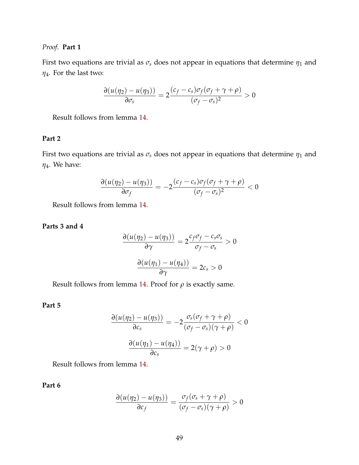*Proof.* **Part 1**

First two equations are trivial as  $\sigma_s$  does not appear in equations that determine  $\eta_1$  and *η*4. For the last two:

$$
\frac{\partial (u(\eta_2) - u(\eta_3))}{\partial \sigma_s} = 2 \frac{(c_f - c_s)\sigma_f(\sigma_f + \gamma + \rho)}{(\sigma_f - \sigma_s)^2} > 0
$$

Result follows from lemma [14.](#page-48-1)

### **Part 2**

First two equations are trivial as  $\sigma_s$  does not appear in equations that determine  $\eta_1$  and *η*4. We have:

$$
\frac{\partial (u(\eta_2) - u(\eta_3))}{\partial \sigma_f} = -2 \frac{(c_f - c_s)\sigma_f(\sigma_f + \gamma + \rho)}{(\sigma_f - \sigma_s)^2} < 0
$$

Result follows from lemma [14.](#page-48-1)

**Parts 3 and 4**

$$
\frac{\partial (u(\eta_2) - u(\eta_3))}{\partial \gamma} = 2 \frac{c_f \sigma_f - c_s \sigma_s}{\sigma_f - \sigma_s} > 0
$$

$$
\frac{\partial (u(\eta_1) - u(\eta_4))}{\partial \gamma} = 2c_s > 0
$$

Result follows from lemma [14.](#page-48-1) Proof for  $\rho$  is exactly same.

#### **Part 5**

$$
\frac{\partial (u(\eta_2) - u(\eta_3))}{\partial c_s} = -2 \frac{\sigma_s(\sigma_f + \gamma + \rho)}{(\sigma_f - \sigma_s)(\gamma + \rho)} < 0
$$

$$
\frac{\partial (u(\eta_1) - u(\eta_4))}{\partial c_s} = 2(\gamma + \rho) > 0
$$

Result follows from lemma [14.](#page-48-1)

**Part 6**

$$
\frac{\partial (u(\eta_2) - u(\eta_3))}{\partial c_f} = \frac{\sigma_f(\sigma_s + \gamma + \rho)}{(\sigma_f - \sigma_s)(\gamma + \rho)} > 0
$$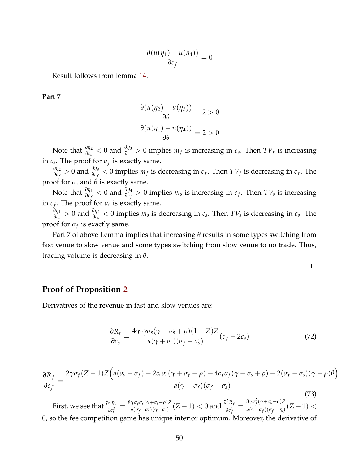$$
\frac{\partial (u(\eta_1) - u(\eta_4))}{\partial c_f} = 0
$$

Result follows from lemma [14.](#page-48-1)

**Part 7**

$$
\frac{\partial (u(\eta_2) - u(\eta_3))}{\partial \theta} = 2 > 0
$$

$$
\frac{\partial (u(\eta_1) - u(\eta_4))}{\partial \theta} = 2 > 0
$$

Note that  $\frac{\partial \eta_2}{\partial c_s} < 0$  and  $\frac{\partial \eta_3}{\partial c_s} > 0$  implies  $m_f$  is increasing in  $c_s$ . Then  $TV_f$  is increasing in  $c_s$ . The proof for  $\sigma_f$  is exactly same.

*∂η*2  $\frac{\partial \eta_2}{\partial c_f} > 0$  and  $\frac{\partial \eta_3}{\partial c_f} < 0$  implies  $m_f$  is decreasing in  $c_f$ . Then  $TV_f$  is decreasing in  $c_f$ . The proof for  $\sigma_s$  and  $\theta$  is exactly same.

Note that  $\frac{\partial \eta_1}{\partial c_f} < 0$  and  $\frac{\partial \eta_4}{\partial c_f} > 0$  implies  $m_s$  is increasing in  $c_f$ . Then  $TV_s$  is increasing in  $c_f$ . The proof for  $\sigma_s$  is exactly same.

*∂η*1  $\frac{\partial \eta_1}{\partial c_s} > 0$  and  $\frac{\partial \eta_4}{\partial c_s} < 0$  implies  $m_s$  is decreasing in  $c_s$ . Then  $TV_s$  is decreasing in  $c_s$ . The proof for *σ<sup>f</sup>* is exactly same.

Part 7 of above Lemma implies that increasing *θ* results in some types switching from fast venue to slow venue and some types switching from slow venue to no trade. Thus, trading volume is decreasing in *θ*.

<span id="page-50-0"></span> $\Box$ 

### **Proof of Proposition [2](#page-19-0)**

Derivatives of the revenue in fast and slow venues are:

$$
\frac{\partial R_s}{\partial c_s} = \frac{4\gamma \sigma_f \sigma_s (\gamma + \sigma_s + \rho)(1 - Z)Z}{a(\gamma + \sigma_s)(\sigma_f - \sigma_s)}(c_f - 2c_s)
$$
\n(72)

<span id="page-50-1"></span>
$$
\frac{\partial R_f}{\partial c_f} = \frac{2\gamma\sigma_f(Z-1)Z\Big(a(\sigma_s-\sigma_f) - 2c_s\sigma_s(\gamma+\sigma_f+\rho) + 4c_f\sigma_f(\gamma+\sigma_s+\rho) + 2(\sigma_f-\sigma_s)(\gamma+\rho)\theta\Big)}{a(\gamma+\sigma_f)(\sigma_f-\sigma_s)}
$$
(73)

First, we see that  $\frac{\partial^2 R_s}{\partial r^2}$  $\frac{\partial^2 R_s}{\partial c_s^2} = \frac{8\gamma\sigma_f\sigma_s(\gamma+\sigma_s+\rho)Z}{a(\sigma_f-\sigma_s)(\gamma+\sigma_s)}$  $\frac{\gamma \sigma_f \sigma_s (\gamma + \sigma_s + \rho) Z}{a(\sigma_f - \sigma_s) (\gamma + \sigma_s)} (Z - 1) < 0$  and  $\frac{\partial^2 R_f}{\partial c_f^2}$ *∂c* 2 *f*  $=\frac{8\gamma\sigma_f^2(\gamma+\sigma_s+\rho)Z}{g(\gamma+\sigma_s)(\sigma_s-\sigma_s)}$  $\frac{a_1 \sigma_f(\gamma + \sigma_s + \rho)Z}{a(\gamma + \sigma_f)(\sigma_f - \sigma_s)}$  $(Z - 1)$ 0, so the fee competition game has unique interior optimum. Moreover, the derivative of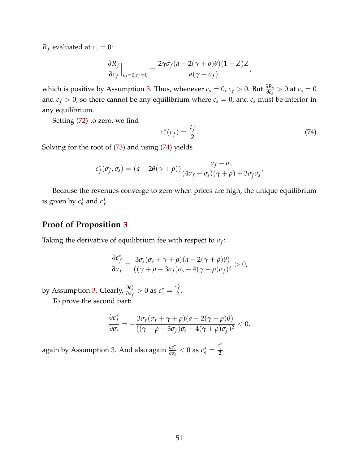*R*<sup>*f*</sup> evaluated at  $c_s = 0$ :

$$
\left. \frac{\partial R_f}{\partial c_f} \right|_{c_s=0, c_f=0} = \frac{2\gamma \sigma_f (a - 2(\gamma + \rho)\theta)(1 - Z)Z}{a(\gamma + \sigma_f)},
$$

which is positive by Assumption [3.](#page-19-1) Thus, whenever  $c_s = 0$ ,  $c_f > 0$ . But  $\frac{\partial R_s}{\partial c_s} > 0$  at  $c_s = 0$ and  $c_f > 0$ , so there cannot be any equilibrium where  $c_s = 0$ , and  $c_s$  must be interior in any equilibrium.

Setting [\(72\)](#page-50-0) to zero, we find

<span id="page-51-0"></span>
$$
c_s^*(c_f) = \frac{c_f}{2}.\tag{74}
$$

Solving for the root of [\(73\)](#page-50-1) and using [\(74\)](#page-51-0) yields

$$
c_f^*(\sigma_f, \sigma_s) = (a - 2\theta(\gamma + \rho)) \frac{\sigma_f - \sigma_s}{(4\sigma_f - \sigma_s)(\gamma + \rho) + 3\sigma_f\sigma_s}.
$$

Because the revenues converge to zero when prices are high, the unique equilibrium is given by  $c_s^*$  and  $c_f^*$ *f* .

### **Proof of Proposition [3](#page-20-0)**

Taking the derivative of equilibrium fee with respect to  $\sigma_f$ :

$$
\frac{\partial c_f^*}{\partial \sigma_f} = \frac{3\sigma_s(\sigma_s + \gamma + \rho)(a - 2(\gamma + \rho)\theta)}{((\gamma + \rho - 3\sigma_f)\sigma_s - 4(\gamma + \rho)\sigma_f)^2} > 0,
$$

by Assumption [3.](#page-19-1) Clearly,  $\frac{\partial c_s^*}{\partial \sigma_f} > 0$  as  $c_s^* = \frac{c_f^*}{2}$  $\frac{1}{2}$ .

To prove the second part:

$$
\frac{\partial c_f^*}{\partial \sigma_s} = -\frac{3\sigma_f(\sigma_f + \gamma + \rho)(a - 2(\gamma + \rho)\theta)}{((\gamma + \rho - 3\sigma_f)\sigma_s - 4(\gamma + \rho)\sigma_f)^2} < 0,
$$

again by Assumption [3.](#page-19-1) And also again  $\frac{\partial c_s^*}{\partial \sigma_s} < 0$  as  $c_s^* = \frac{c_f^*}{2}$  $\frac{J}{2}$ .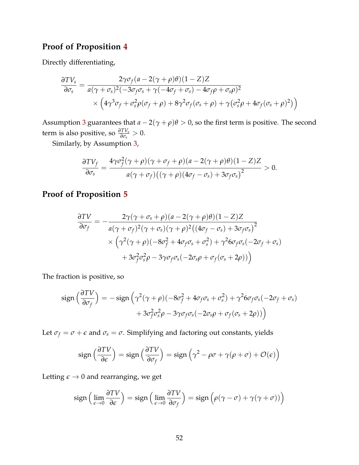# **Proof of Proposition [4](#page-21-0)**

Directly differentiating,

$$
\frac{\partial TV_s}{\partial \sigma_s} = \frac{2\gamma\sigma_f(a - 2(\gamma + \rho)\theta)(1 - Z)Z}{a(\gamma + \sigma_s)^2(-3\sigma_f\sigma_s + \gamma(-4\sigma_f + \sigma_s) - 4\sigma_f\rho + \sigma_s\rho)^2} \times \left(4\gamma^3\sigma_f + \sigma_s^2\rho(\sigma_f + \rho) + 8\gamma^2\sigma_f(\sigma_s + \rho) + \gamma(\sigma_s^2\rho + 4\sigma_f(\sigma_s + \rho)^2)\right)
$$

Assumption [3](#page-19-1) guarantees that  $a - 2(\gamma + \rho)\theta > 0$ , so the first term is positive. The second term is also positive, so  $\frac{\partial TV_s}{\partial \sigma_s} > 0$ .

Similarly, by Assumption [3,](#page-19-1)

$$
\frac{\partial TV_f}{\partial \sigma_s} = \frac{4\gamma \sigma_f^2 (\gamma + \rho)(\gamma + \sigma_f + \rho)(a - 2(\gamma + \rho)\theta)(1 - Z)Z}{a(\gamma + \sigma_f)((\gamma + \rho)(4\sigma_f - \sigma_s) + 3\sigma_f \sigma_s)^2} > 0.
$$

# **Proof of Proposition [5](#page-22-0)**

$$
\frac{\partial TV}{\partial \sigma_f} = -\frac{2\gamma(\gamma + \sigma_s + \rho)(a - 2(\gamma + \rho)\theta)(1 - Z)Z}{a(\gamma + \sigma_f)^2(\gamma + \sigma_s)(\gamma + \rho)^2((4\sigma_f - \sigma_s) + 3\sigma_f\sigma_s)^2} \times \left(\gamma^2(\gamma + \rho)(-8\sigma_f^2 + 4\sigma_f\sigma_s + \sigma_s^2) + \gamma^26\sigma_f\sigma_s(-2\sigma_f + \sigma_s) + 3\sigma_f^2\sigma_s^2\rho - 3\gamma\sigma_f\sigma_s(-2\sigma_s\rho + \sigma_f(\sigma_s + 2\rho))\right)
$$

The fraction is positive, so

$$
\text{sign}\left(\frac{\partial TV}{\partial \sigma_f}\right) = -\text{sign}\left(\gamma^2(\gamma+\rho)(-8\sigma_f^2 + 4\sigma_f\sigma_s + \sigma_s^2) + \gamma^2 6\sigma_f\sigma_s(-2\sigma_f + \sigma_s) + 3\sigma_f^2\sigma_s^2\rho - 3\gamma\sigma_f\sigma_s(-2\sigma_s\rho + \sigma_f(\sigma_s + 2\rho))\right)
$$

Let  $\sigma_f = \sigma + \epsilon$  and  $\sigma_s = \sigma$ . Simplifying and factoring out constants, yields

$$
\operatorname{sign}\left(\frac{\partial TV}{\partial \epsilon}\right) = \operatorname{sign}\left(\frac{\partial TV}{\partial \sigma_f}\right) = \operatorname{sign}\left(\gamma^2 - \rho\sigma + \gamma(\rho + \sigma) + \mathcal{O}(\epsilon)\right)
$$

Letting  $\epsilon \to 0$  and rearranging, we get

$$
\operatorname{sign}\left(\lim_{\epsilon \to 0} \frac{\partial TV}{\partial \epsilon}\right) = \operatorname{sign}\left(\lim_{\epsilon \to 0} \frac{\partial TV}{\partial \sigma_f}\right) = \operatorname{sign}\left(\rho(\gamma - \sigma) + \gamma(\gamma + \sigma)\right)
$$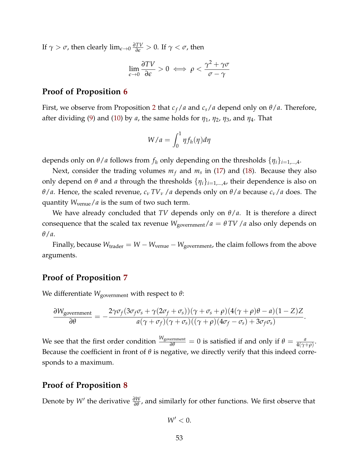If  $\gamma > \sigma$ , then clearly  $\lim_{\epsilon \to 0} \frac{\partial TV}{\partial \epsilon} > 0$ . If  $\gamma < \sigma$ , then

$$
\lim_{\epsilon \to 0} \frac{\partial TV}{\partial \epsilon} > 0 \iff \rho < \frac{\gamma^2 + \gamma \sigma}{\sigma - \gamma}
$$

### **Proof of Proposition [6](#page-25-0)**

First, we observe from Proposition [2](#page-19-0) that  $c_f/a$  and  $c_s/a$  depend only on  $\theta/a$ . Therefore, after dividing [\(9\)](#page-9-0) and [\(10\)](#page-9-2) by *a*, the same holds for  $\eta_1$ ,  $\eta_2$ ,  $\eta_3$ , and  $\eta_4$ . That

$$
W/a = \int_0^1 \eta f_h(\eta) d\eta
$$

depends only on  $\theta$ /*a* follows from  $f_h$  only depending on the thresholds  $\{\eta_i\}_{i=1,\dots,4}$ .

Next, consider the trading volumes *m<sup>f</sup>* and *m<sup>s</sup>* in [\(17\)](#page-15-3) and [\(18\)](#page-15-4). Because they also only depend on  $\theta$  and *a* through the thresholds  $\{\eta_i\}_{i=1,\dots,4}$ , their dependence is also on *θ*/*a*. Hence, the scaled revenue, *c<sup>ν</sup> TV<sup>ν</sup>* /*a* depends only on *θ*/*a* because *cν*/*a* does. The quantity *W*venue/*a* is the sum of two such term.

We have already concluded that *TV* depends only on *θ*/*a*. It is therefore a direct consequence that the scaled tax revenue  $W_{\text{government}}/a = \theta TV/a$  also only depends on *θ*/*a*.

Finally, because  $W_{\text{trade}} = W - W_{\text{venue}} - W_{\text{government}}$ , the claim follows from the above arguments.

### **Proof of Proposition [7](#page-26-0)**

We differentiate *W*government with respect to *θ*:

$$
\frac{\partial W_{\text{government}}}{\partial \theta} = -\frac{2\gamma \sigma_f (3\sigma_f \sigma_s + \gamma (2\sigma_f + \sigma_s))(\gamma + \sigma_s + \rho)(4(\gamma + \rho)\theta - a)(1 - Z)Z}{a(\gamma + \sigma_f)(\gamma + \sigma_s)((\gamma + \rho)(4\sigma_f - \sigma_s) + 3\sigma_f \sigma_s)}.
$$

We see that the first order condition  $\frac{W_{\text{government}}}{\partial \theta} = 0$  is satisfied if and only if  $\theta = \frac{a}{4(\gamma + \rho)}$ . Because the coefficient in front of *θ* is negative, we directly verify that this indeed corresponds to a maximum.

### **Proof of Proposition [8](#page-27-0)**

Denote by *W'* the derivative  $\frac{\partial W}{\partial θ}$ , and similarly for other functions. We first observe that

$$
W'<0.
$$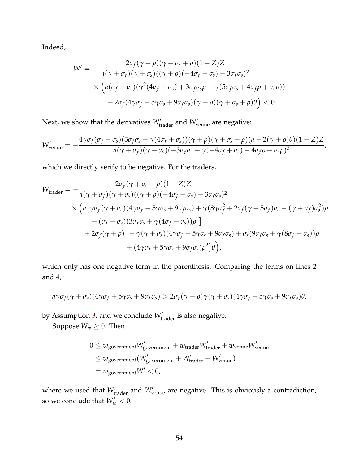Indeed,

$$
W' = -\frac{2\sigma_f(\gamma + \rho)(\gamma + \sigma_s + \rho)(1 - Z)Z}{a(\gamma + \sigma_f)(\gamma + \sigma_s)((\gamma + \rho)(-4\sigma_f + \sigma_s) - 3\sigma_f\sigma_s)^2}
$$
  
\$\times \left(a(\sigma\_f - \sigma\_s)(\gamma^2(4\sigma\_f + \sigma\_s) + 3\sigma\_f\sigma\_s\rho + \gamma(5\sigma\_f\sigma\_s + 4\sigma\_f\rho + \sigma\_s\rho))\n+ 2\sigma\_f(4\gamma\sigma\_f + 5\gamma\sigma\_s + 9\sigma\_f\sigma\_s)(\gamma + \rho)(\gamma + \sigma\_s + \rho)\theta\right) < 0.

Next, we show that the derivatives  $W'_{\text{trader}}$  and  $W'_{\text{venue}}$  are negative:

$$
W'_{\text{venue}} = -\frac{4\gamma\sigma_f(\sigma_f - \sigma_s)(5\sigma_f\sigma_s + \gamma(4\sigma_f + \sigma_s))(\gamma + \rho)(\gamma + \sigma_s + \rho)(a - 2(\gamma + \rho)\theta)(1 - Z)Z}{a(\gamma + \sigma_f)(\gamma + \sigma_s)(-3\sigma_f\sigma_s + \gamma(-4\sigma_f + \sigma_s) - 4\sigma_f\rho + \sigma_s\rho)^2},
$$

which we directly verify to be negative. For the traders,

$$
W'_{\text{trade}} = -\frac{2\sigma_f(\gamma + \sigma_s + \rho)(1 - Z)Z}{a(\gamma + \sigma_f)(\gamma + \sigma_s)((\gamma + \rho)(-4\sigma_f + \sigma_s) - 3\sigma_f\sigma_s)^2}
$$
  
\$\times \left(a[\gamma\sigma\_f(\gamma + \sigma\_s)(4\gamma\sigma\_f + 5\gamma\sigma\_s + 9\sigma\_f\sigma\_s) + \gamma(8\gamma\sigma\_f^2 + 2\sigma\_f(\gamma + 5\sigma\_f)\sigma\_s - (\gamma + \sigma\_f)\sigma\_s^2)\rho  
 + (\sigma\_f - \sigma\_s)(3\sigma\_f\sigma\_s + \gamma(4\sigma\_f + \sigma\_s))\rho^2]  
 + 2\sigma\_f(\gamma + \rho)[-\gamma(\gamma + \sigma\_s)(4\gamma\sigma\_f + 5\gamma\sigma\_s + 9\sigma\_f\sigma\_s) + \sigma\_s(9\sigma\_f\sigma\_s + \gamma(8\sigma\_f + \sigma\_s))\rho  
 + (4\gamma\sigma\_f + 5\gamma\sigma\_s + 9\sigma\_f\sigma\_s)\rho^2]\theta\right),

which only has one negative term in the parenthesis. Comparing the terms on lines 2 and 4,

$$
a\gamma\sigma_f(\gamma+\sigma_s)(4\gamma\sigma_f+5\gamma\sigma_s+9\sigma_f\sigma_s)>2\sigma_f(\gamma+\rho)\gamma(\gamma+\sigma_s)(4\gamma\sigma_f+5\gamma\sigma_s+9\sigma_f\sigma_s)\theta,
$$

by Assumption [3,](#page-19-1) and we conclude  $W'_{\text{trader}}$  is also negative.

Suppose  $W'_w \geq 0$ . Then

$$
0 \le w_{\text{government}} W_{\text{government}}' + w_{\text{trader}} W_{\text{trader}}' + w_{\text{venue}} W_{\text{venue}}'
$$
  

$$
\le w_{\text{government}} (W_{\text{government}}' + W_{\text{trader}}' + W_{\text{venue}}')
$$
  

$$
= w_{\text{government}} W' < 0,
$$

where we used that  $W'_{\text{trader}}$  and  $W'_{\text{venue}}$  are negative. This is obviously a contradiction, so we conclude that  $W'_w < 0$ .